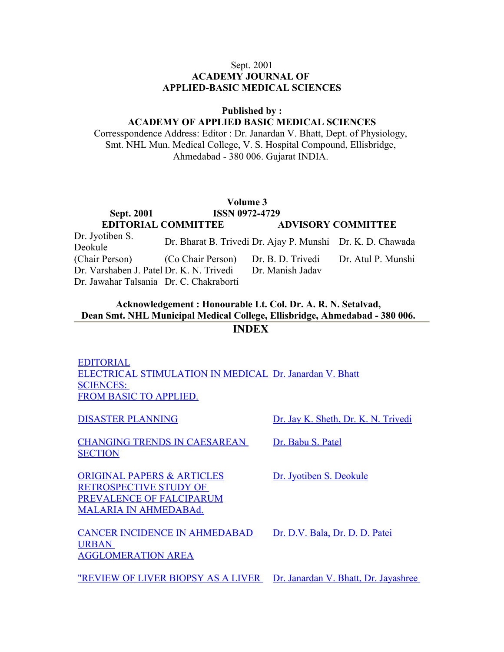#### Sept. 2001 **ACADEMY JOURNAL OF APPLIED-BASIC MEDICAL SCIENCES**

#### **Published by :**

## **ACADEMY OF APPLIED BASIC MEDICAL SCIENCES**

Corresspondence Address: Editor : Dr. Janardan V. Bhatt, Dept. of Physiology, Smt. NHL Mun. Medical College, V. S. Hospital Compound, Ellisbridge, Ahmedabad - 380 006. Gujarat INDIA.

#### **Volume 3 Sept. 2001 ISSN 0072-4720**

|                                                                       | $\text{Sepi.}$ 2001 1881 09/2-4/29                         |                           |
|-----------------------------------------------------------------------|------------------------------------------------------------|---------------------------|
|                                                                       | <b>EDITORIAL COMMITTEE</b>                                 | <b>ADVISORY COMMITTEE</b> |
| Dr. Jyotiben S.<br>Deokule                                            | Dr. Bharat B. Trivedi Dr. Ajay P. Munshi Dr. K. D. Chawada |                           |
| (Chair Person) (Co Chair Person) Dr. B. D. Trivedi Dr. Atul P. Munshi |                                                            |                           |
| Dr. Varshaben J. Patel Dr. K. N. Trivedi Dr. Manish Jadav             |                                                            |                           |
| Dr. Jawahar Talsania Dr. C. Chakraborti                               |                                                            |                           |

#### **Acknowledgement : Honourable Lt. Col. Dr. A. R. N. Setalvad, Dean Smt. NHL Municipal Medical College, Ellisbridge, Ahmedabad - 380 006. INDEX**

[EDITORIAL](http://www.nhlmmc.edu.in/editorioals-electrical.htm) [ELECTRICAL STIMULATION IN MEDICAL](http://www.nhlmmc.edu.in/editorioals-electrical.htm) [Dr. Janardan V. Bhatt](http://www.nhlmmc.edu.in/editorioals-electrical.htm) SCIENCES: [FROM BASIC TO APPLIED.](http://www.nhlmmc.edu.in/editorioals-electrical.htm)

[CHANGING TRENDS IN CAESAREAN](http://www.nhlmmc.edu.in/changin-trend.htm) **[SECTION](http://www.nhlmmc.edu.in/changin-trend.htm)** 

[DISASTER PLANNING](http://www.nhlmmc.edu.in/disaster-planning.htm) DR. Jay K. Sheth, Dr. K. N. Trivedi

[ORIGINAL PAPERS & ARTICLES](http://www.nhlmmc.edu.in/original-papers.htm) RETROSPECTIVE STUDY OF [PREVALENCE OF FALCIPARUM](http://www.nhlmmc.edu.in/original-papers.htm) [MALARIA IN AHMEDABAd.](http://www.nhlmmc.edu.in/original-papers.htm)

[CANCER INCIDENCE IN AHMEDABAD](http://www.nhlmmc.edu.in/cancer-incidence.htm) [URBAN](http://www.nhlmmc.edu.in/cancer-incidence.htm)  [AGGLOMERATION AREA](http://www.nhlmmc.edu.in/cancer-incidence.htm)

[Dr. Babu S. Patel](http://www.nhlmmc.edu.in/changin-trend.htm)

[Dr. Jyotiben S. Deokule](http://www.nhlmmc.edu.in/original-papers.htm)

[Dr. D.V. Bala, Dr. D. D. Patei](http://www.nhlmmc.edu.in/cancer-incidence.htm)

["REVIEW OF LIVER BIOPSY AS A LIVER](http://www.nhlmmc.edu.in/review-liver.htm) [Dr. Janardan V. Bhatt, Dr. Jayashree](http://www.nhlmmc.edu.in/review-liver.htm)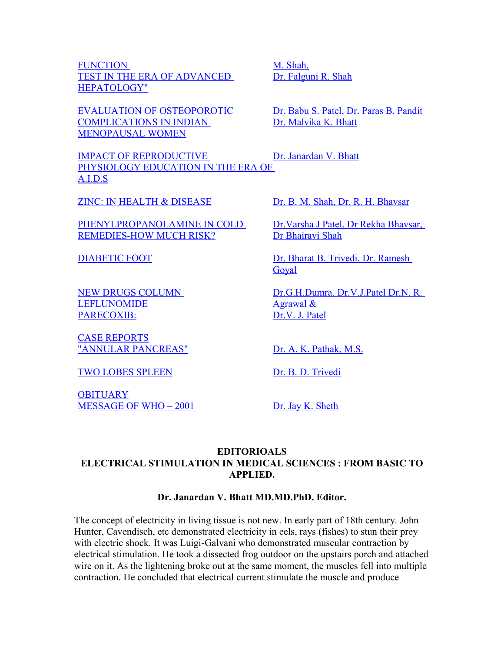FUNCTION [TEST IN THE ERA OF ADVANCED](http://www.nhlmmc.edu.in/review-liver.htm) [HEPATOLOGY"](http://www.nhlmmc.edu.in/review-liver.htm)

[EVALUATION OF OSTEOPOROTIC](http://www.nhlmmc.edu.in/evaluation-osteoprotic.htm) [COMPLICATIONS IN INDIAN](http://www.nhlmmc.edu.in/evaluation-osteoprotic.htm) [MENOPAUSAL WOMEN](http://www.nhlmmc.edu.in/evaluation-osteoprotic.htm)

[IMPACT OF REPRODUCTIVE](http://www.nhlmmc.edu.in/impact-reproductive.htm) [PHYSIOLOGY EDUCATION IN THE ERA OF](http://www.nhlmmc.edu.in/impact-reproductive.htm) [A.I.D.S](http://www.nhlmmc.edu.in/impact-reproductive.htm)

[PHENYLPROPANOLAMINE IN COLD](http://www.nhlmmc.edu.in/phenylpropanolamine.htm) [REMEDIES-HOW MUCH RISK?](http://www.nhlmmc.edu.in/phenylpropanolamine.htm)

[NEW DRUGS COLUMN](http://www.nhlmmc.edu.in/new-drugs-column.htm)  **LEFLUNOMIDE** [PARECOXIB:](http://www.nhlmmc.edu.in/new-drugs-column.htm)

[CASE REPORTS](http://www.nhlmmc.edu.in/case-reports-annula-pancreas.htm) ["ANNULAR PANCREAS"](http://www.nhlmmc.edu.in/case-reports-annula-pancreas.htm) [Dr. A. K. Pathak, M.S.](http://www.nhlmmc.edu.in/case-reports-annula-pancreas.htm)

[TWO LOBES SPLEEN](http://www.nhlmmc.edu.in/case-reports-annula-pancreas.htm#two) [Dr. B. D. Trivedi](http://www.nhlmmc.edu.in/case-reports-annula-pancreas.htm#two)

**[OBITUARY](http://www.nhlmmc.edu.in/obitury.htm)** [MESSAGE OF WHO – 2001](http://www.nhlmmc.edu.in/obitury.htm#m) [Dr. Jay K. Sheth](http://www.nhlmmc.edu.in/obitury.htm#m)

[Dr. Falguni R. Shah](http://www.nhlmmc.edu.in/review-liver.htm)

[M. Shah,](http://www.nhlmmc.edu.in/review-liver.htm)

[Dr. Babu S. Patel, Dr. Paras B. Pandit](http://www.nhlmmc.edu.in/evaluation-osteoprotic.htm)  [Dr. Malvika K. Bhatt](http://www.nhlmmc.edu.in/evaluation-osteoprotic.htm)

[Dr. Janardan V. Bhatt](http://www.nhlmmc.edu.in/impact-reproductive.htm)

[ZINC: IN HEALTH & DISEASE](http://www.nhlmmc.edu.in/zinc-in-health.htm) [Dr. B. M. Shah, Dr. R. H. Bhavsar](http://www.nhlmmc.edu.in/zinc-in-health.htm)

[Dr.Varsha J Patel, Dr Rekha Bhavsar,](http://www.nhlmmc.edu.in/phenylpropanolamine.htm)  [Dr Bhairavi Shah](http://www.nhlmmc.edu.in/phenylpropanolamine.htm)

[DIABETIC FOOT](http://www.nhlmmc.edu.in/diabetic-foot.htm) DR. Bharat B. Trivedi, Dr. Ramesh [Goyal](http://www.nhlmmc.edu.in/diabetic-foot.htm)

> [Dr.G.H.Dumra, Dr.V.J.Patel Dr.N. R.](http://www.nhlmmc.edu.in/new-drugs-column.htm) [Agrawal &](http://www.nhlmmc.edu.in/new-drugs-column.htm)  [Dr.V. J. Patel](http://www.nhlmmc.edu.in/new-drugs-column.htm)

## **EDITORIOALS ELECTRICAL STIMULATION IN MEDICAL SCIENCES : FROM BASIC TO APPLIED.**

#### **Dr. Janardan V. Bhatt MD.MD.PhD. Editor.**

The concept of electricity in living tissue is not new. In early part of 18th century. John Hunter, Cavendisch, etc demonstrated electricity in eels, rays (fishes) to stun their prey with electric shock. It was Luigi-Galvani who demonstrated muscular contraction by electrical stimulation. He took a dissected frog outdoor on the upstairs porch and attached wire on it. As the lightening broke out at the same moment, the muscles fell into multiple contraction. He concluded that electrical current stimulate the muscle and produce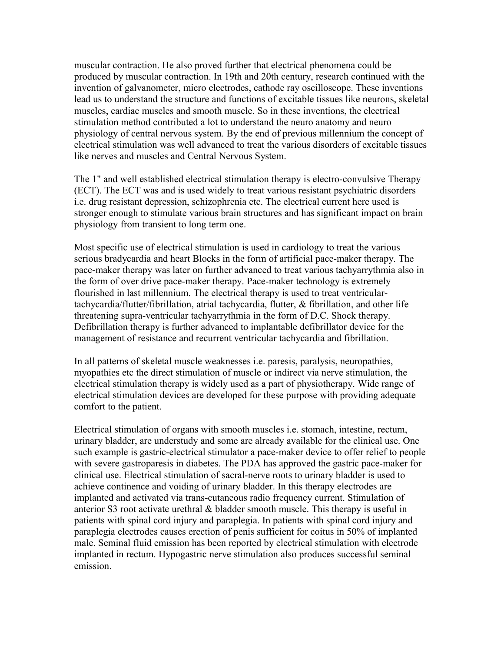muscular contraction. He also proved further that electrical phenomena could be produced by muscular contraction. In 19th and 20th century, research continued with the invention of galvanometer, micro electrodes, cathode ray oscilloscope. These inventions lead us to understand the structure and functions of excitable tissues like neurons, skeletal muscles, cardiac muscles and smooth muscle. So in these inventions, the electrical stimulation method contributed a lot to understand the neuro anatomy and neuro physiology of central nervous system. By the end of previous millennium the concept of electrical stimulation was well advanced to treat the various disorders of excitable tissues like nerves and muscles and Central Nervous System.

The 1" and well established electrical stimulation therapy is electro-convulsive Therapy (ECT). The ECT was and is used widely to treat various resistant psychiatric disorders i.e. drug resistant depression, schizophrenia etc. The electrical current here used is stronger enough to stimulate various brain structures and has significant impact on brain physiology from transient to long term one.

Most specific use of electrical stimulation is used in cardiology to treat the various serious bradycardia and heart Blocks in the form of artificial pace-maker therapy. The pace-maker therapy was later on further advanced to treat various tachyarrythmia also in the form of over drive pace-maker therapy. Pace-maker technology is extremely flourished in last millennium. The electrical therapy is used to treat ventriculartachycardia/flutter/fibrillation, atrial tachycardia, flutter, & fibrillation, and other life threatening supra-ventricular tachyarrythmia in the form of D.C. Shock therapy. Defibrillation therapy is further advanced to implantable defibrillator device for the management of resistance and recurrent ventricular tachycardia and fibrillation.

In all patterns of skeletal muscle weaknesses i.e. paresis, paralysis, neuropathies, myopathies etc the direct stimulation of muscle or indirect via nerve stimulation, the electrical stimulation therapy is widely used as a part of physiotherapy. Wide range of electrical stimulation devices are developed for these purpose with providing adequate comfort to the patient.

Electrical stimulation of organs with smooth muscles i.e. stomach, intestine, rectum, urinary bladder, are understudy and some are already available for the clinical use. One such example is gastric-electrical stimulator a pace-maker device to offer relief to people with severe gastroparesis in diabetes. The PDA has approved the gastric pace-maker for clinical use. Electrical stimulation of sacral-nerve roots to urinary bladder is used to achieve continence and voiding of urinary bladder. In this therapy electrodes are implanted and activated via trans-cutaneous radio frequency current. Stimulation of anterior S3 root activate urethral & bladder smooth muscle. This therapy is useful in patients with spinal cord injury and paraplegia. In patients with spinal cord injury and paraplegia electrodes causes erection of penis sufficient for coitus in 50% of implanted male. Seminal fluid emission has been reported by electrical stimulation with electrode implanted in rectum. Hypogastric nerve stimulation also produces successful seminal emission.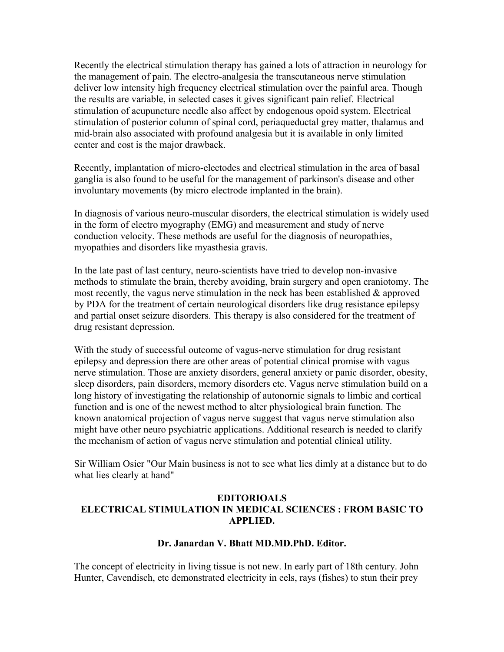Recently the electrical stimulation therapy has gained a lots of attraction in neurology for the management of pain. The electro-analgesia the transcutaneous nerve stimulation deliver low intensity high frequency electrical stimulation over the painful area. Though the results are variable, in selected cases it gives significant pain relief. Electrical stimulation of acupuncture needle also affect by endogenous opoid system. Electrical stimulation of posterior column of spinal cord, periaqueductal grey matter, thalamus and mid-brain also associated with profound analgesia but it is available in only limited center and cost is the major drawback.

Recently, implantation of micro-electodes and electrical stimulation in the area of basal ganglia is also found to be useful for the management of parkinson's disease and other involuntary movements (by micro electrode implanted in the brain).

In diagnosis of various neuro-muscular disorders, the electrical stimulation is widely used in the form of electro myography (EMG) and measurement and study of nerve conduction velocity. These methods are useful for the diagnosis of neuropathies, myopathies and disorders like myasthesia gravis.

In the late past of last century, neuro-scientists have tried to develop non-invasive methods to stimulate the brain, thereby avoiding, brain surgery and open craniotomy. The most recently, the vagus nerve stimulation in the neck has been established & approved by PDA for the treatment of certain neurological disorders like drug resistance epilepsy and partial onset seizure disorders. This therapy is also considered for the treatment of drug resistant depression.

With the study of successful outcome of vagus-nerve stimulation for drug resistant epilepsy and depression there are other areas of potential clinical promise with vagus nerve stimulation. Those are anxiety disorders, general anxiety or panic disorder, obesity, sleep disorders, pain disorders, memory disorders etc. Vagus nerve stimulation build on a long history of investigating the relationship of autonornic signals to limbic and cortical function and is one of the newest method to alter physiological brain function. The known anatomical projection of vagus nerve suggest that vagus nerve stimulation also might have other neuro psychiatric applications. Additional research is needed to clarify the mechanism of action of vagus nerve stimulation and potential clinical utility.

Sir William Osier "Our Main business is not to see what lies dimly at a distance but to do what lies clearly at hand"

## **EDITORIOALS ELECTRICAL STIMULATION IN MEDICAL SCIENCES : FROM BASIC TO APPLIED.**

## **Dr. Janardan V. Bhatt MD.MD.PhD. Editor.**

The concept of electricity in living tissue is not new. In early part of 18th century. John Hunter, Cavendisch, etc demonstrated electricity in eels, rays (fishes) to stun their prey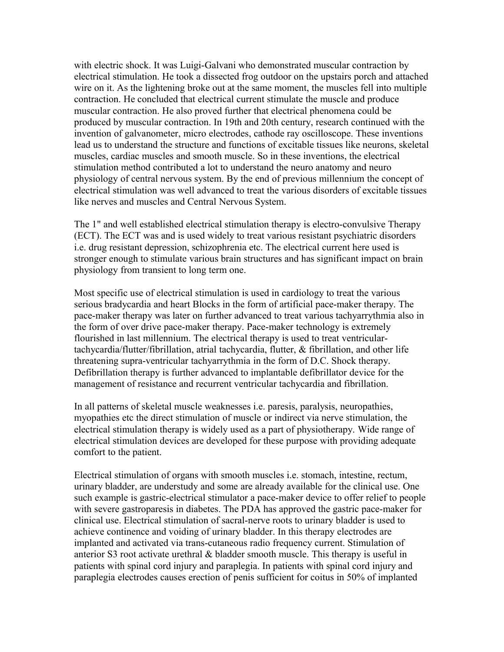with electric shock. It was Luigi-Galvani who demonstrated muscular contraction by electrical stimulation. He took a dissected frog outdoor on the upstairs porch and attached wire on it. As the lightening broke out at the same moment, the muscles fell into multiple contraction. He concluded that electrical current stimulate the muscle and produce muscular contraction. He also proved further that electrical phenomena could be produced by muscular contraction. In 19th and 20th century, research continued with the invention of galvanometer, micro electrodes, cathode ray oscilloscope. These inventions lead us to understand the structure and functions of excitable tissues like neurons, skeletal muscles, cardiac muscles and smooth muscle. So in these inventions, the electrical stimulation method contributed a lot to understand the neuro anatomy and neuro physiology of central nervous system. By the end of previous millennium the concept of electrical stimulation was well advanced to treat the various disorders of excitable tissues like nerves and muscles and Central Nervous System.

The 1" and well established electrical stimulation therapy is electro-convulsive Therapy (ECT). The ECT was and is used widely to treat various resistant psychiatric disorders i.e. drug resistant depression, schizophrenia etc. The electrical current here used is stronger enough to stimulate various brain structures and has significant impact on brain physiology from transient to long term one.

Most specific use of electrical stimulation is used in cardiology to treat the various serious bradycardia and heart Blocks in the form of artificial pace-maker therapy. The pace-maker therapy was later on further advanced to treat various tachyarrythmia also in the form of over drive pace-maker therapy. Pace-maker technology is extremely flourished in last millennium. The electrical therapy is used to treat ventriculartachycardia/flutter/fibrillation, atrial tachycardia, flutter, & fibrillation, and other life threatening supra-ventricular tachyarrythmia in the form of D.C. Shock therapy. Defibrillation therapy is further advanced to implantable defibrillator device for the management of resistance and recurrent ventricular tachycardia and fibrillation.

In all patterns of skeletal muscle weaknesses i.e. paresis, paralysis, neuropathies, myopathies etc the direct stimulation of muscle or indirect via nerve stimulation, the electrical stimulation therapy is widely used as a part of physiotherapy. Wide range of electrical stimulation devices are developed for these purpose with providing adequate comfort to the patient.

Electrical stimulation of organs with smooth muscles i.e. stomach, intestine, rectum, urinary bladder, are understudy and some are already available for the clinical use. One such example is gastric-electrical stimulator a pace-maker device to offer relief to people with severe gastroparesis in diabetes. The PDA has approved the gastric pace-maker for clinical use. Electrical stimulation of sacral-nerve roots to urinary bladder is used to achieve continence and voiding of urinary bladder. In this therapy electrodes are implanted and activated via trans-cutaneous radio frequency current. Stimulation of anterior S3 root activate urethral & bladder smooth muscle. This therapy is useful in patients with spinal cord injury and paraplegia. In patients with spinal cord injury and paraplegia electrodes causes erection of penis sufficient for coitus in 50% of implanted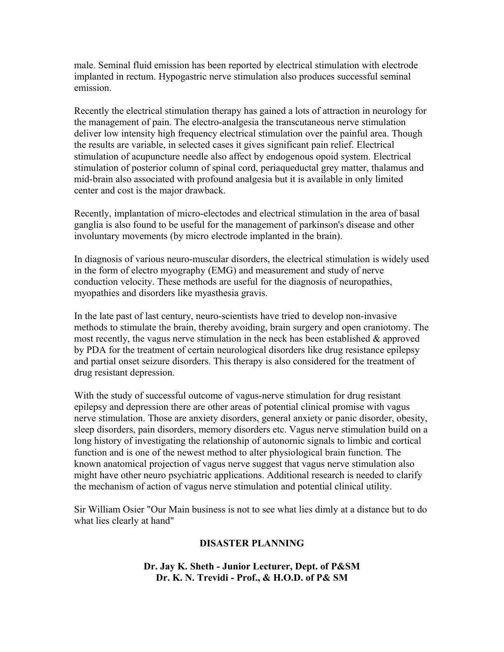male. Seminal fluid emission has been reported by electrical stimulation with electrode implanted in rectum. Hypogastric nerve stimulation also produces successful seminal emission.

Recently the electrical stimulation therapy has gained a lots of attraction in neurology for the management of pain. The electro-analgesia the transcutaneous nerve stimulation deliver low intensity high frequency electrical stimulation over the painful area. Though the results are variable, in selected cases it gives significant pain relief. Electrical stimulation of acupuncture needle also affect by endogenous opoid system. Electrical stimulation of posterior column of spinal cord, periaqueductal grey matter, thalamus and mid-brain also associated with profound analgesia but it is available in only limited center and cost is the major drawback.

Recently, implantation of micro-electodes and electrical stimulation in the area of basal ganglia is also found to be useful for the management of parkinson's disease and other involuntary movements (by micro electrode implanted in the brain).

In diagnosis of various neuro-muscular disorders, the electrical stimulation is widely used in the form of electro myography (EMG) and measurement and study of nerve conduction velocity. These methods are useful for the diagnosis of neuropathies, myopathies and disorders like myasthesia gravis.

In the late past of last century, neuro-scientists have tried to develop non-invasive methods to stimulate the brain, thereby avoiding, brain surgery and open craniotomy. The most recently, the vagus nerve stimulation in the neck has been established & approved by PDA for the treatment of certain neurological disorders like drug resistance epilepsy and partial onset seizure disorders. This therapy is also considered for the treatment of drug resistant depression.

With the study of successful outcome of vagus-nerve stimulation for drug resistant epilepsy and depression there are other areas of potential clinical promise with vagus nerve stimulation. Those are anxiety disorders, general anxiety or panic disorder, obesity, sleep disorders, pain disorders, memory disorders etc. Vagus nerve stimulation build on a long history of investigating the relationship of autonornic signals to limbic and cortical function and is one of the newest method to alter physiological brain function. The known anatomical projection of vagus nerve suggest that vagus nerve stimulation also might have other neuro psychiatric applications. Additional research is needed to clarify the mechanism of action of vagus nerve stimulation and potential clinical utility.

Sir William Osier "Our Main business is not to see what lies dimly at a distance but to do what lies clearly at hand"

#### **DISASTER PLANNING**

**Dr. Jay K. Sheth - Junior Lecturer, Dept. of P&SM Dr. K. N. Trevidi - Prof., & H.O.D. of P& SM**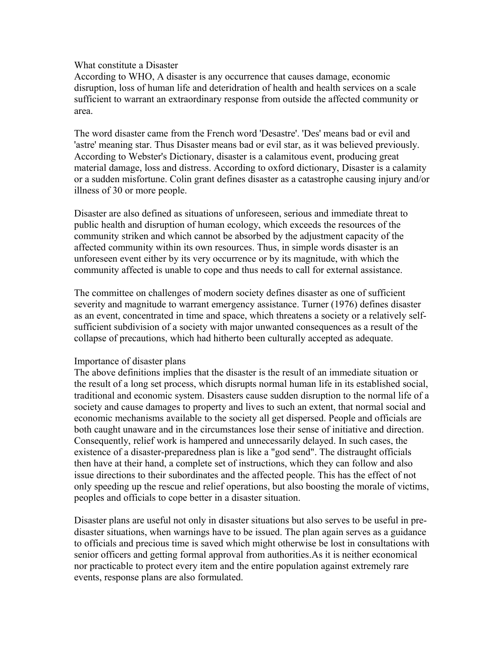#### What constitute a Disaster

According to WHO, A disaster is any occurrence that causes damage, economic disruption, loss of human life and deteridration of health and health services on a scale sufficient to warrant an extraordinary response from outside the affected community or area.

The word disaster came from the French word 'Desastre'. 'Des' means bad or evil and 'astre' meaning star. Thus Disaster means bad or evil star, as it was believed previously. According to Webster's Dictionary, disaster is a calamitous event, producing great material damage, loss and distress. According to oxford dictionary, Disaster is a calamity or a sudden misfortune. Colin grant defines disaster as a catastrophe causing injury and/or illness of 30 or more people.

Disaster are also defined as situations of unforeseen, serious and immediate threat to public health and disruption of human ecology, which exceeds the resources of the community striken and which cannot be absorbed by the adjustment capacity of the affected community within its own resources. Thus, in simple words disaster is an unforeseen event either by its very occurrence or by its magnitude, with which the community affected is unable to cope and thus needs to call for external assistance.

The committee on challenges of modern society defines disaster as one of sufficient severity and magnitude to warrant emergency assistance. Turner (1976) defines disaster as an event, concentrated in time and space, which threatens a society or a relatively selfsufficient subdivision of a society with major unwanted consequences as a result of the collapse of precautions, which had hitherto been culturally accepted as adequate.

#### Importance of disaster plans

The above definitions implies that the disaster is the result of an immediate situation or the result of a long set process, which disrupts normal human life in its established social, traditional and economic system. Disasters cause sudden disruption to the normal life of a society and cause damages to property and lives to such an extent, that normal social and economic mechanisms available to the society all get dispersed. People and officials are both caught unaware and in the circumstances lose their sense of initiative and direction. Consequently, relief work is hampered and unnecessarily delayed. In such cases, the existence of a disaster-preparedness plan is like a "god send". The distraught officials then have at their hand, a complete set of instructions, which they can follow and also issue directions to their subordinates and the affected people. This has the effect of not only speeding up the rescue and relief operations, but also boosting the morale of victims, peoples and officials to cope better in a disaster situation.

Disaster plans are useful not only in disaster situations but also serves to be useful in predisaster situations, when warnings have to be issued. The plan again serves as a guidance to officials and precious time is saved which might otherwise be lost in consultations with senior officers and getting formal approval from authorities.As it is neither economical nor practicable to protect every item and the entire population against extremely rare events, response plans are also formulated.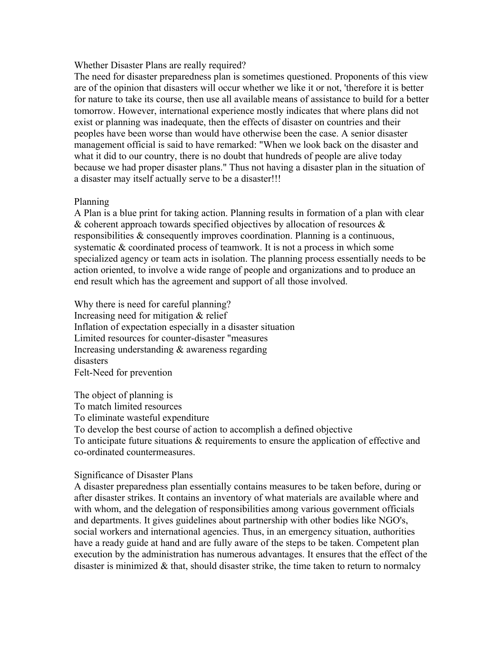#### Whether Disaster Plans are really required?

The need for disaster preparedness plan is sometimes questioned. Proponents of this view are of the opinion that disasters will occur whether we like it or not, 'therefore it is better for nature to take its course, then use all available means of assistance to build for a better tomorrow. However, international experience mostly indicates that where plans did not exist or planning was inadequate, then the effects of disaster on countries and their peoples have been worse than would have otherwise been the case. A senior disaster management official is said to have remarked: "When we look back on the disaster and what it did to our country, there is no doubt that hundreds of people are alive today because we had proper disaster plans." Thus not having a disaster plan in the situation of a disaster may itself actually serve to be a disaster!!!

#### Planning

A Plan is a blue print for taking action. Planning results in formation of a plan with clear & coherent approach towards specified objectives by allocation of resources  $\&$ responsibilities & consequently improves coordination. Planning is a continuous, systematic & coordinated process of teamwork. It is not a process in which some specialized agency or team acts in isolation. The planning process essentially needs to be action oriented, to involve a wide range of people and organizations and to produce an end result which has the agreement and support of all those involved.

Why there is need for careful planning? Increasing need for mitigation & relief Inflation of expectation especially in a disaster situation Limited resources for counter-disaster "measures Increasing understanding & awareness regarding disasters Felt-Need for prevention

The object of planning is To match limited resources To eliminate wasteful expenditure To develop the best course of action to accomplish a defined objective To anticipate future situations & requirements to ensure the application of effective and co-ordinated countermeasures.

#### Significance of Disaster Plans

A disaster preparedness plan essentially contains measures to be taken before, during or after disaster strikes. It contains an inventory of what materials are available where and with whom, and the delegation of responsibilities among various government officials and departments. It gives guidelines about partnership with other bodies like NGO's, social workers and international agencies. Thus, in an emergency situation, authorities have a ready guide at hand and are fully aware of the steps to be taken. Competent plan execution by the administration has numerous advantages. It ensures that the effect of the disaster is minimized  $\&$  that, should disaster strike, the time taken to return to normalcy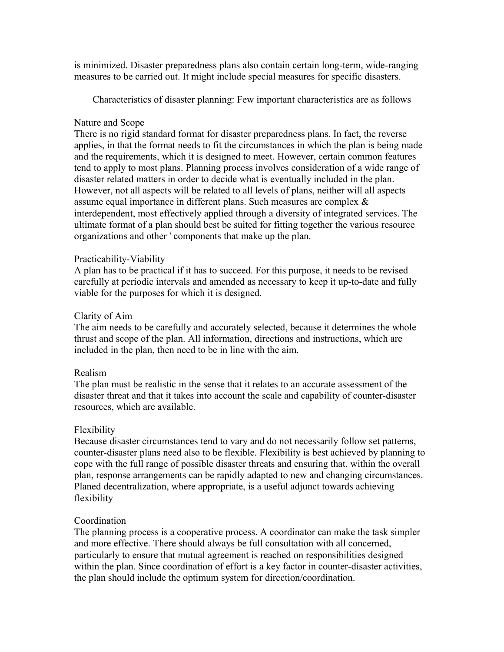is minimized. Disaster preparedness plans also contain certain long-term, wide-ranging measures to be carried out. It might include special measures for specific disasters.

Characteristics of disaster planning: Few important characteristics are as follows

#### Nature and Scope

There is no rigid standard format for disaster preparedness plans. In fact, the reverse applies, in that the format needs to fit the circumstances in which the plan is being made and the requirements, which it is designed to meet. However, certain common features tend to apply to most plans. Planning process involves consideration of a wide range of disaster related matters in order to decide what is eventually included in the plan. However, not all aspects will be related to all levels of plans, neither will all aspects assume equal importance in different plans. Such measures are complex & interdependent, most effectively applied through a diversity of integrated services. The ultimate format of a plan should best be suited for fitting together the various resource organizations and other ' components that make up the plan.

#### Practicability-Viability

A plan has to be practical if it has to succeed. For this purpose, it needs to be revised carefully at periodic intervals and amended as necessary to keep it up-to-date and fully viable for the purposes for which it is designed.

#### Clarity of Aim

The aim needs to be carefully and accurately selected, because it determines the whole thrust and scope of the plan. All information, directions and instructions, which are included in the plan, then need to be in line with the aim.

#### Realism

The plan must be realistic in the sense that it relates to an accurate assessment of the disaster threat and that it takes into account the scale and capability of counter-disaster resources, which are available.

## Flexibility

Because disaster circumstances tend to vary and do not necessarily follow set patterns, counter-disaster plans need also to be flexible. Flexibility is best achieved by planning to cope with the full range of possible disaster threats and ensuring that, within the overall plan, response arrangements can be rapidly adapted to new and changing circumstances. Planed decentralization, where appropriate, is a useful adjunct towards achieving flexibility

## Coordination

The planning process is a cooperative process. A coordinator can make the task simpler and more effective. There should always be full consultation with all concerned, particularly to ensure that mutual agreement is reached on responsibilities designed within the plan. Since coordination of effort is a key factor in counter-disaster activities, the plan should include the optimum system for direction/coordination.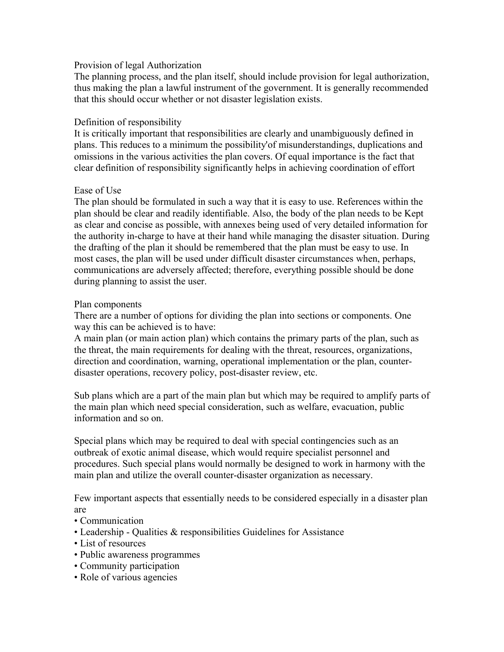#### Provision of legal Authorization

The planning process, and the plan itself, should include provision for legal authorization, thus making the plan a lawful instrument of the government. It is generally recommended that this should occur whether or not disaster legislation exists.

## Definition of responsibility

It is critically important that responsibilities are clearly and unambiguously defined in plans. This reduces to a minimum the possibility'of misunderstandings, duplications and omissions in the various activities the plan covers. Of equal importance is the fact that clear definition of responsibility significantly helps in achieving coordination of effort

#### Ease of Use

The plan should be formulated in such a way that it is easy to use. References within the plan should be clear and readily identifiable. Also, the body of the plan needs to be Kept as clear and concise as possible, with annexes being used of very detailed information for the authority in-charge to have at their hand while managing the disaster situation. During the drafting of the plan it should be remembered that the plan must be easy to use. In most cases, the plan will be used under difficult disaster circumstances when, perhaps, communications are adversely affected; therefore, everything possible should be done during planning to assist the user.

#### Plan components

There are a number of options for dividing the plan into sections or components. One way this can be achieved is to have:

A main plan (or main action plan) which contains the primary parts of the plan, such as the threat, the main requirements for dealing with the threat, resources, organizations, direction and coordination, warning, operational implementation or the plan, counterdisaster operations, recovery policy, post-disaster review, etc.

Sub plans which are a part of the main plan but which may be required to amplify parts of the main plan which need special consideration, such as welfare, evacuation, public information and so on.

Special plans which may be required to deal with special contingencies such as an outbreak of exotic animal disease, which would require specialist personnel and procedures. Such special plans would normally be designed to work in harmony with the main plan and utilize the overall counter-disaster organization as necessary.

Few important aspects that essentially needs to be considered especially in a disaster plan are

- Communication
- Leadership Qualities & responsibilities Guidelines for Assistance
- List of resources
- Public awareness programmes
- Community participation
- Role of various agencies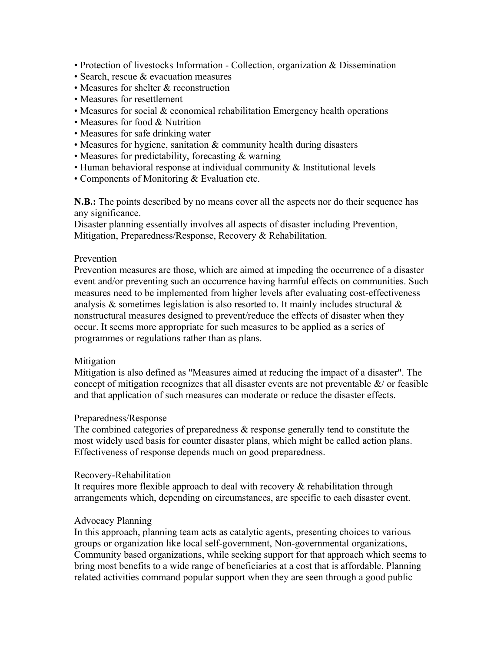- Protection of livestocks Information Collection, organization & Dissemination
- Search, rescue & evacuation measures
- Measures for shelter & reconstruction
- Measures for resettlement
- Measures for social & economical rehabilitation Emergency health operations
- Measures for food & Nutrition
- Measures for safe drinking water
- Measures for hygiene, sanitation & community health during disasters
- Measures for predictability, forecasting & warning
- Human behavioral response at individual community & Institutional levels
- Components of Monitoring & Evaluation etc.

**N.B.:** The points described by no means cover all the aspects nor do their sequence has any significance.

Disaster planning essentially involves all aspects of disaster including Prevention, Mitigation, Preparedness/Response, Recovery & Rehabilitation.

#### Prevention

Prevention measures are those, which are aimed at impeding the occurrence of a disaster event and/or preventing such an occurrence having harmful effects on communities. Such measures need to be implemented from higher levels after evaluating cost-effectiveness analysis  $\&$  sometimes legislation is also resorted to. It mainly includes structural  $\&$ nonstructural measures designed to prevent/reduce the effects of disaster when they occur. It seems more appropriate for such measures to be applied as a series of programmes or regulations rather than as plans.

#### Mitigation

Mitigation is also defined as "Measures aimed at reducing the impact of a disaster". The concept of mitigation recognizes that all disaster events are not preventable  $\&$  or feasible and that application of such measures can moderate or reduce the disaster effects.

#### Preparedness/Response

The combined categories of preparedness  $\&$  response generally tend to constitute the most widely used basis for counter disaster plans, which might be called action plans. Effectiveness of response depends much on good preparedness.

#### Recovery-Rehabilitation

It requires more flexible approach to deal with recovery  $\&$  rehabilitation through arrangements which, depending on circumstances, are specific to each disaster event.

#### Advocacy Planning

In this approach, planning team acts as catalytic agents, presenting choices to various groups or organization like local self-government, Non-governmental organizations, Community based organizations, while seeking support for that approach which seems to bring most benefits to a wide range of beneficiaries at a cost that is affordable. Planning related activities command popular support when they are seen through a good public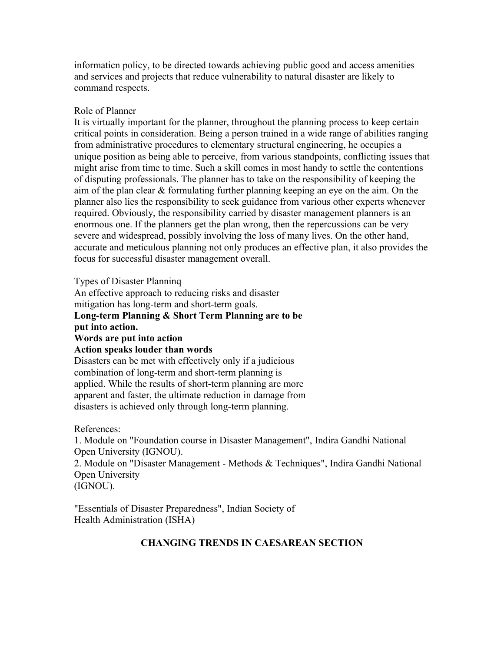informaticn policy, to be directed towards achieving public good and access amenities and services and projects that reduce vulnerability to natural disaster are likely to command respects.

#### Role of Planner

It is virtually important for the planner, throughout the planning process to keep certain critical points in consideration. Being a person trained in a wide range of abilities ranging from administrative procedures to elementary structural engineering, he occupies a unique position as being able to perceive, from various standpoints, conflicting issues that might arise from time to time. Such a skill comes in most handy to settle the contentions of disputing professionals. The planner has to take on the responsibility of keeping the aim of the plan clear & formulating further planning keeping an eye on the aim. On the planner also lies the responsibility to seek guidance from various other experts whenever required. Obviously, the responsibility carried by disaster management planners is an enormous one. If the planners get the plan wrong, then the repercussions can be very severe and widespread, possibly involving the loss of many lives. On the other hand, accurate and meticulous planning not only produces an effective plan, it also provides the focus for successful disaster management overall.

Types of Disaster Planninq

An effective approach to reducing risks and disaster

mitigation has long-term and short-term goals.

# **Long-term Planning & Short Term Planning are to be**

**put into action.**

#### **Words are put into action**

#### **Action speaks louder than words**

Disasters can be met with effectively only if a judicious combination of long-term and short-term planning is applied. While the results of short-term planning are more apparent and faster, the ultimate reduction in damage from disasters is achieved only through long-term planning.

References:

1. Module on "Foundation course in Disaster Management", Indira Gandhi National Open University (IGNOU).

2. Module on "Disaster Management - Methods & Techniques", Indira Gandhi National Open University

(IGNOU).

"Essentials of Disaster Preparedness", Indian Society of Health Administration (ISHA)

# **CHANGING TRENDS IN CAESAREAN SECTION**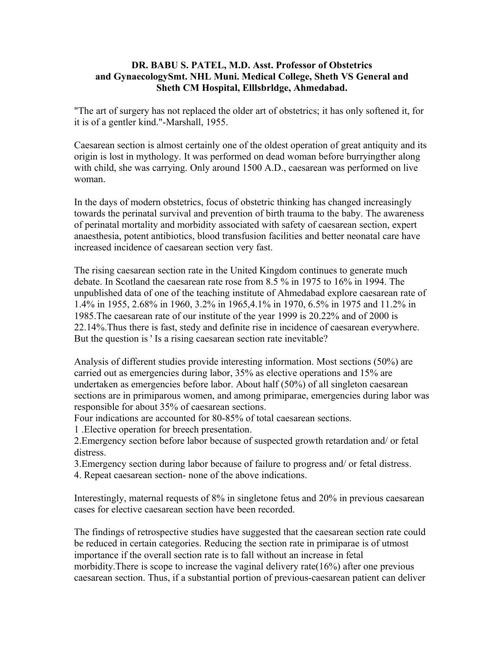#### **DR. BABU S. PATEL, M.D. Asst. Professor of Obstetrics and GynaecologySmt. NHL Muni. Medical College, Sheth VS General and Sheth CM Hospital, Elllsbrldge, Ahmedabad.**

"The art of surgery has not replaced the older art of obstetrics; it has only softened it, for it is of a gentler kind."-Marshall, 1955.

Caesarean section is almost certainly one of the oldest operation of great antiquity and its origin is lost in mythology. It was performed on dead woman before burryingther along with child, she was carrying. Only around 1500 A.D., caesarean was performed on live woman.

In the days of modern obstetrics, focus of obstetric thinking has changed increasingly towards the perinatal survival and prevention of birth trauma to the baby. The awareness of perinatal mortality and morbidity associated with safety of caesarean section, expert anaesthesia, potent antibiotics, blood transfusion facilities and better neonatal care have increased incidence of caesarean section very fast.

The rising caesarean section rate in the United Kingdom continues to generate much debate. In Scotland the caesarean rate rose from 8.5 % in 1975 to 16% in 1994. The unpublished data of one of the teaching institute of Ahmedabad explore caesarean rate of 1.4% in 1955, 2.68% in 1960, 3.2% in 1965,4.1% in 1970, 6.5% in 1975 and 11.2% in 1985.The caesarean rate of our institute of the year 1999 is 20.22% and of 2000 is 22.14%.Thus there is fast, stedy and definite rise in incidence of caesarean everywhere. But the question is ' Is a rising caesarean section rate inevitable?

Analysis of different studies provide interesting information. Most sections (50%) are carried out as emergencies during labor, 35% as elective operations and 15% are undertaken as emergencies before labor. About half (50%) of all singleton caesarean sections are in primiparous women, and among primiparae, emergencies during labor was responsible for about 35% of caesarean sections.

Four indications are accounted for 80-85% of total caesarean sections.

1 .Elective operation for breech presentation.

2.Emergency section before labor because of suspected growth retardation and/ or fetal distress.

3.Emergency section during labor because of failure to progress and/ or fetal distress.

4. Repeat caesarean section- none of the above indications.

Interestingly, maternal requests of 8% in singletone fetus and 20% in previous caesarean cases for elective caesarean section have been recorded.

The findings of retrospective studies have suggested that the caesarean section rate could be reduced in certain categories. Reducing the section rate in primiparae is of utmost importance if the overall section rate is to fall without an increase in fetal morbidity.There is scope to increase the vaginal delivery rate(16%) after one previous caesarean section. Thus, if a substantial portion of previous-caesarean patient can deliver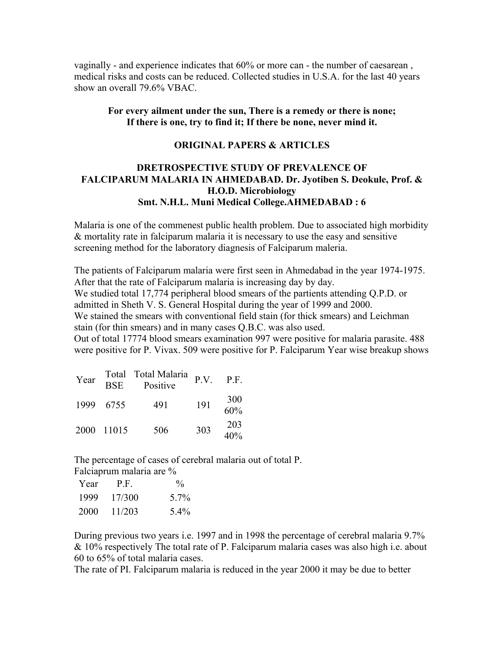vaginally - and experience indicates that 60% or more can - the number of caesarean , medical risks and costs can be reduced. Collected studies in U.S.A. for the last 40 years show an overall 79.6% VBAC.

#### **For every ailment under the sun, There is a remedy or there is none; If there is one, try to find it; If there be none, never mind it.**

#### **ORIGINAL PAPERS & ARTICLES**

## **DRETROSPECTIVE STUDY OF PREVALENCE OF FALCIPARUM MALARIA IN AHMEDABAD. Dr. Jyotiben S. Deokule, Prof. & H.O.D. Microbiology Smt. N.H.L. Muni Medical College.AHMEDABAD : 6**

Malaria is one of the commenest public health problem. Due to associated high morbidity & mortality rate in falciparum malaria it is necessary to use the easy and sensitive screening method for the laboratory diagnesis of Falciparum maleria.

The patients of Falciparum malaria were first seen in Ahmedabad in the year 1974-1975. After that the rate of Falciparum malaria is increasing day by day. We studied total 17,774 peripheral blood smears of the partients attending Q.P.D. or admitted in Sheth V. S. General Hospital during the year of 1999 and 2000. We stained the smears with conventional field stain (for thick smears) and Leichman

stain (for thin smears) and in many cases Q.B.C. was also used.

Out of total 17774 blood smears examination 997 were positive for malaria parasite. 488 were positive for P. Vivax. 509 were positive for P. Falciparum Year wise breakup shows

| Year | <b>BSE</b> | Total Total Malaria $P.V.$<br>Positive |     | P.F.       |
|------|------------|----------------------------------------|-----|------------|
|      | 1999 6755  | 491                                    | 191 | 300<br>60% |
|      | 2000 11015 | 506                                    | 303 | 203<br>40% |

The percentage of cases of cerebral malaria out of total P. Falciaprum malaria are %

| Year | P.F.   | $\frac{0}{0}$    |
|------|--------|------------------|
| 1999 | 17/300 | 5 7 <sub>%</sub> |
| 2000 | 11/203 | 5.4%             |

During previous two years i.e. 1997 and in 1998 the percentage of cerebral malaria 9.7% & 10% respectively The total rate of P. Falciparum malaria cases was also high i.e. about 60 to 65% of total malaria cases.

The rate of PI. Falciparum malaria is reduced in the year 2000 it may be due to better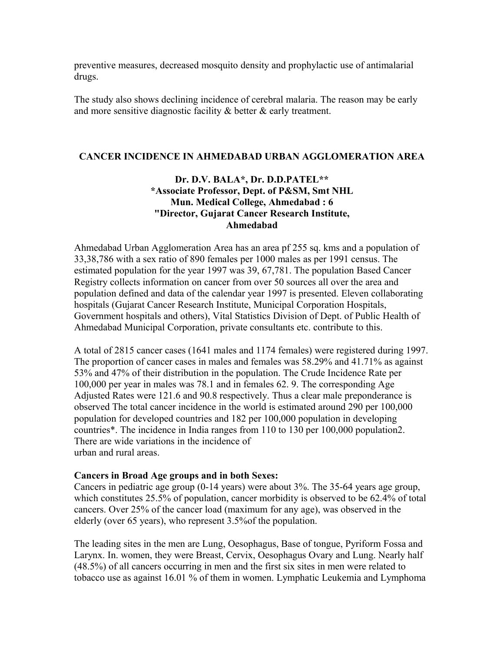preventive measures, decreased mosquito density and prophylactic use of antimalarial drugs.

The study also shows declining incidence of cerebral malaria. The reason may be early and more sensitive diagnostic facility & better & early treatment.

#### **CANCER INCIDENCE IN AHMEDABAD URBAN AGGLOMERATION AREA**

## **Dr. D.V. BALA\*, Dr. D.D.PATEL\*\* \*Associate Professor, Dept. of P&SM, Smt NHL Mun. Medical College, Ahmedabad : 6 "Director, Gujarat Cancer Research Institute, Ahmedabad**

Ahmedabad Urban Agglomeration Area has an area pf 255 sq. kms and a population of 33,38,786 with a sex ratio of 890 females per 1000 males as per 1991 census. The estimated population for the year 1997 was 39, 67,781. The population Based Cancer Registry collects information on cancer from over 50 sources all over the area and population defined and data of the calendar year 1997 is presented. Eleven collaborating hospitals (Gujarat Cancer Research Institute, Municipal Corporation Hospitals, Government hospitals and others), Vital Statistics Division of Dept. of Public Health of Ahmedabad Municipal Corporation, private consultants etc. contribute to this.

A total of 2815 cancer cases (1641 males and 1174 females) were registered during 1997. The proportion of cancer cases in males and females was 58.29% and 41.71% as against 53% and 47% of their distribution in the population. The Crude Incidence Rate per 100,000 per year in males was 78.1 and in females 62. 9. The corresponding Age Adjusted Rates were 121.6 and 90.8 respectively. Thus a clear male preponderance is observed The total cancer incidence in the world is estimated around 290 per 100,000 population for developed countries and 182 per 100,000 population in developing countries\*. The incidence in India ranges from 110 to 130 per 100,000 population2. There are wide variations in the incidence of urban and rural areas.

#### **Cancers in Broad Age groups and in both Sexes:**

Cancers in pediatric age group (0-14 years) were about 3%. The 35-64 years age group, which constitutes 25.5% of population, cancer morbidity is observed to be 62.4% of total cancers. Over 25% of the cancer load (maximum for any age), was observed in the elderly (over 65 years), who represent 3.5%of the population.

The leading sites in the men are Lung, Oesophagus, Base of tongue, Pyriform Fossa and Larynx. In. women, they were Breast, Cervix, Oesophagus Ovary and Lung. Nearly half (48.5%) of all cancers occurring in men and the first six sites in men were related to tobacco use as against 16.01 % of them in women. Lymphatic Leukemia and Lymphoma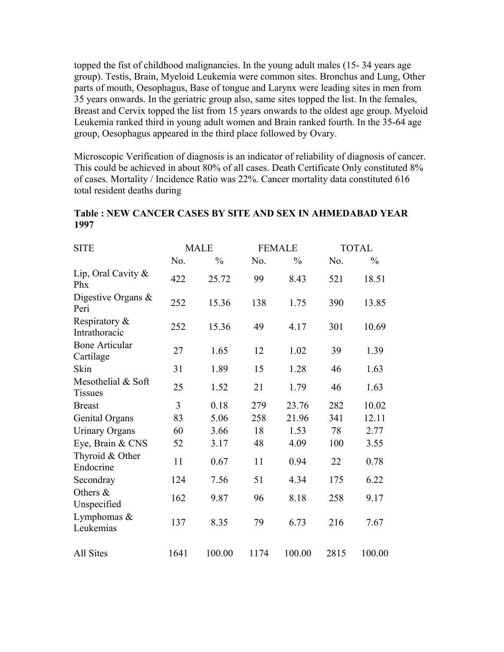topped the fist of childhood malignancies. In the young adult males (15- 34 years age group). Testis, Brain, Myeloid Leukemia were common sites. Bronchus and Lung, Other parts of mouth, Oesophagus, Base of tongue and Larynx were leading sites in men from 35 years onwards. In the geriatric group also, same sites topped the list. In the females, Breast and Cervix topped the list from 15 years onwards to the oldest age group. Myeloid Leukemia ranked third in young adult women and Brain ranked fourth. In the 35-64 age group, Oesophagus appeared in the third place followed by Ovary.

Microscopic Verification of diagnosis is an indicator of reliability of diagnosis of cancer. This could be achieved in about 80% of all cases. Death Certificate Only constituted 8% of cases. Mortality / Incidence Ratio was 22%. Cancer mortality data constituted 616 total resident deaths during

| <b>SITE</b>                          |      | <b>MALE</b>   |      | <b>FEMALE</b> |      | <b>TOTAL</b>  |
|--------------------------------------|------|---------------|------|---------------|------|---------------|
|                                      | No.  | $\frac{0}{0}$ | No.  | $\frac{0}{0}$ | No.  | $\frac{0}{0}$ |
| Lip, Oral Cavity &<br>Phx            | 422  | 25.72         | 99   | 8.43          | 521  | 18.51         |
| Digestive Organs &<br>Peri           | 252  | 15.36         | 138  | 1.75          | 390  | 13.85         |
| Respiratory $\&$<br>Intrathoracic    | 252  | 15.36         | 49   | 4.17          | 301  | 10.69         |
| <b>Bone Articular</b><br>Cartilage   | 27   | 1.65          | 12   | 1.02          | 39   | 1.39          |
| Skin                                 | 31   | 1.89          | 15   | 1.28          | 46   | 1.63          |
| Mesothelial & Soft<br><b>Tissues</b> | 25   | 1.52          | 21   | 1.79          | 46   | 1.63          |
| <b>Breast</b>                        | 3    | 0.18          | 279  | 23.76         | 282  | 10.02         |
| Genital Organs                       | 83   | 5.06          | 258  | 21.96         | 341  | 12.11         |
| <b>Urinary Organs</b>                | 60   | 3.66          | 18   | 1.53          | 78   | 2.77          |
| Eye, Brain & CNS                     | 52   | 3.17          | 48   | 4.09          | 100  | 3.55          |
| Thyroid & Other<br>Endocrine         | 11   | 0.67          | 11   | 0.94          | 22   | 0.78          |
| Secondray                            | 124  | 7.56          | 51   | 4.34          | 175  | 6.22          |
| Others &<br>Unspecified              | 162  | 9.87          | 96   | 8.18          | 258  | 9.17          |
| Lymphomas $&$<br>Leukemias           | 137  | 8.35          | 79   | 6.73          | 216  | 7.67          |
| All Sites                            | 1641 | 100.00        | 1174 | 100.00        | 2815 | 100.00        |

## **Table : NEW CANCER CASES BY SITE AND SEX IN AHMEDABAD YEAR 1997**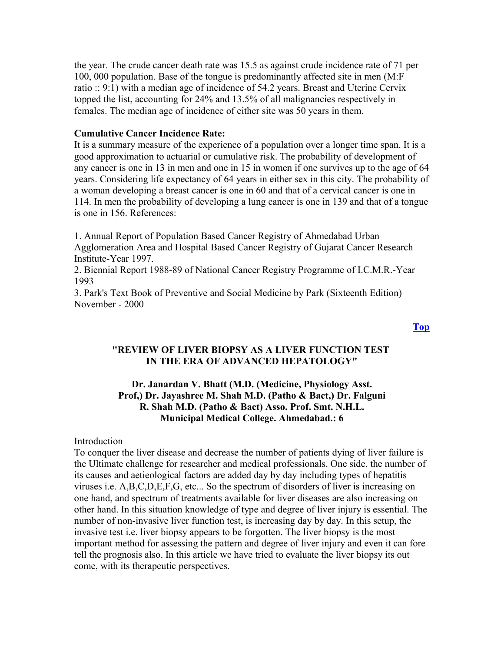the year. The crude cancer death rate was 15.5 as against crude incidence rate of 71 per 100, 000 population. Base of the tongue is predominantly affected site in men (M:F ratio :: 9:1) with a median age of incidence of 54.2 years. Breast and Uterine Cervix topped the list, accounting for 24% and 13.5% of all malignancies respectively in females. The median age of incidence of either site was 50 years in them.

#### **Cumulative Cancer Incidence Rate:**

It is a summary measure of the experience of a population over a longer time span. It is a good approximation to actuarial or cumulative risk. The probability of development of any cancer is one in 13 in men and one in 15 in women if one survives up to the age of 64 years. Considering life expectancy of 64 years in either sex in this city. The probability of a woman developing a breast cancer is one in 60 and that of a cervical cancer is one in 114. In men the probability of developing a lung cancer is one in 139 and that of a tongue is one in 156. References:

1. Annual Report of Population Based Cancer Registry of Ahmedabad Urban Agglomeration Area and Hospital Based Cancer Registry of Gujarat Cancer Research Institute-Year 1997.

2. Biennial Report 1988-89 of National Cancer Registry Programme of I.C.M.R.-Year 1993

3. Park's Text Book of Preventive and Social Medicine by Park (Sixteenth Edition) November - 2000

#### **"REVIEW OF LIVER BIOPSY AS A LIVER FUNCTION TEST IN THE ERA OF ADVANCED HEPATOLOGY"**

#### **Dr. Janardan V. Bhatt (M.D. (Medicine, Physiology Asst. Prof,) Dr. Jayashree M. Shah M.D. (Patho & Bact,) Dr. Falguni R. Shah M.D. (Patho & Bact) Asso. Prof. Smt. N.H.L. Municipal Medical College. Ahmedabad.: 6**

#### **Introduction**

To conquer the liver disease and decrease the number of patients dying of liver failure is the Ultimate challenge for researcher and medical professionals. One side, the number of its causes and aetieological factors are added day by day including types of hepatitis viruses i.e. A,B,C,D,E,F,G, etc... So the spectrum of disorders of liver is increasing on one hand, and spectrum of treatments available for liver diseases are also increasing on other hand. In this situation knowledge of type and degree of liver injury is essential. The number of non-invasive liver function test, is increasing day by day. In this setup, the invasive test i.e. liver biopsy appears to be forgotten. The liver biopsy is the most important method for assessing the pattern and degree of liver injury and even it can fore tell the prognosis also. In this article we have tried to evaluate the liver biopsy its out come, with its therapeutic perspectives.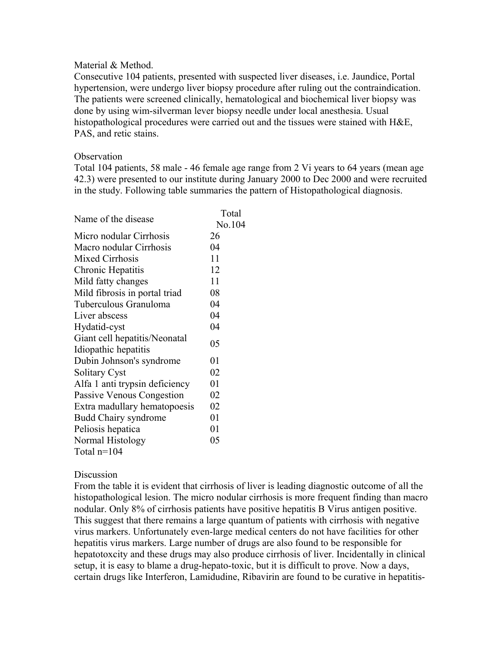#### Material & Method.

Consecutive 104 patients, presented with suspected liver diseases, i.e. Jaundice, Portal hypertension, were undergo liver biopsy procedure after ruling out the contraindication. The patients were screened clinically, hematological and biochemical liver biopsy was done by using wim-silverman lever biopsy needle under local anesthesia. Usual histopathological procedures were carried out and the tissues were stained with H&E, PAS, and retic stains.

#### **Observation**

Total 104 patients, 58 male - 46 female age range from 2 Vi years to 64 years (mean age 42.3) were presented to our institute during January 2000 to Dec 2000 and were recruited in the study. Following table summaries the pattern of Histopathological diagnosis.

|                                | Total  |
|--------------------------------|--------|
| Name of the disease            | No.104 |
| Micro nodular Cirrhosis        | 26     |
| Macro nodular Cirrhosis        | 04     |
| Mixed Cirrhosis                | 11     |
| Chronic Hepatitis              | 12     |
| Mild fatty changes             | 11     |
| Mild fibrosis in portal triad  | 08     |
| Tuberculous Granuloma          | 04     |
| Liver abscess                  | 04     |
| Hydatid-cyst                   | 04     |
| Giant cell hepatitis/Neonatal  | 05     |
| Idiopathic hepatitis           |        |
| Dubin Johnson's syndrome       | 01     |
| <b>Solitary Cyst</b>           | 02     |
| Alfa 1 anti trypsin deficiency | 01     |
| Passive Venous Congestion      | 02     |
| Extra madullary hematopoesis   | 02     |
| <b>Budd Chairy syndrome</b>    | 01     |
| Peliosis hepatica              | 01     |
| Normal Histology               | 05     |
| Total $n=104$                  |        |

## **Discussion**

From the table it is evident that cirrhosis of liver is leading diagnostic outcome of all the histopathological lesion. The micro nodular cirrhosis is more frequent finding than macro nodular. Only 8% of cirrhosis patients have positive hepatitis B Virus antigen positive. This suggest that there remains a large quantum of patients with cirrhosis with negative virus markers. Unfortunately even-large medical centers do not have facilities for other hepatitis virus markers. Large number of drugs are also found to be responsible for hepatotoxcity and these drugs may also produce cirrhosis of liver. Incidentally in clinical setup, it is easy to blame a drug-hepato-toxic, but it is difficult to prove. Now a days, certain drugs like Interferon, Lamidudine, Ribavirin are found to be curative in hepatitis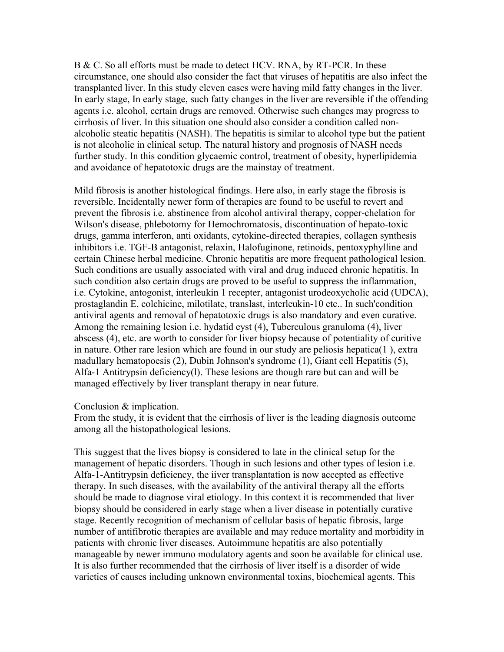B & C. So all efforts must be made to detect HCV. RNA, by RT-PCR. In these circumstance, one should also consider the fact that viruses of hepatitis are also infect the transplanted liver. In this study eleven cases were having mild fatty changes in the liver. In early stage, In early stage, such fatty changes in the liver are reversible if the offending agents i.e. alcohol, certain drugs are removed. Otherwise such changes may progress to cirrhosis of liver. In this situation one should also consider a condition called nonalcoholic steatic hepatitis (NASH). The hepatitis is similar to alcohol type but the patient is not alcoholic in clinical setup. The natural history and prognosis of NASH needs further study. In this condition glycaemic control, treatment of obesity, hyperlipidemia and avoidance of hepatotoxic drugs are the mainstay of treatment.

Mild fibrosis is another histological findings. Here also, in early stage the fibrosis is reversible. Incidentally newer form of therapies are found to be useful to revert and prevent the fibrosis i.e. abstinence from alcohol antiviral therapy, copper-chelation for Wilson's disease, phlebotomy for Hemochromatosis, discontinuation of hepato-toxic drugs, gamma interferon, anti oxidants, cytokine-directed therapies, collagen synthesis inhibitors i.e. TGF-B antagonist, relaxin, Halofuginone, retinoids, pentoxyphylline and certain Chinese herbal medicine. Chronic hepatitis are more frequent pathological lesion. Such conditions are usually associated with viral and drug induced chronic hepatitis. In such condition also certain drugs are proved to be useful to suppress the inflammation, i.e. Cytokine, antogonist, interleukin 1 recepter, antagonist urodeoxycholic acid (UDCA), prostaglandin E, colchicine, milotilate, translast, interleukin-10 etc.. In such'condition antiviral agents and removal of hepatotoxic drugs is also mandatory and even curative. Among the remaining lesion i.e. hydatid eyst (4), Tuberculous granuloma (4), liver abscess (4), etc. are worth to consider for liver biopsy because of potentiality of curitive in nature. Other rare lesion which are found in our study are peliosis hepatica(1 ), extra madullary hematopoesis (2), Dubin Johnson's syndrome (1), Giant cell Hepatitis (5), Alfa-1 Antitrypsin deficiency(l). These lesions are though rare but can and will be managed effectively by liver transplant therapy in near future.

#### Conclusion & implication.

From the study, it is evident that the cirrhosis of liver is the leading diagnosis outcome among all the histopathological lesions.

This suggest that the lives biopsy is considered to late in the clinical setup for the management of hepatic disorders. Though in such lesions and other types of lesion i.e. Alfa-1-Antitrypsin deficiency, the iiver transplantation is now accepted as effective therapy. In such diseases, with the availability of the antiviral therapy all the efforts should be made to diagnose viral etiology. In this context it is recommended that liver biopsy should be considered in early stage when a liver disease in potentially curative stage. Recently recognition of mechanism of cellular basis of hepatic fibrosis, large number of antifibrotic therapies are available and may reduce mortality and morbidity in patients with chronic liver diseases. Autoimmune hepatitis are also potentially manageable by newer immuno modulatory agents and soon be available for clinical use. It is also further recommended that the cirrhosis of liver itself is a disorder of wide varieties of causes including unknown environmental toxins, biochemical agents. This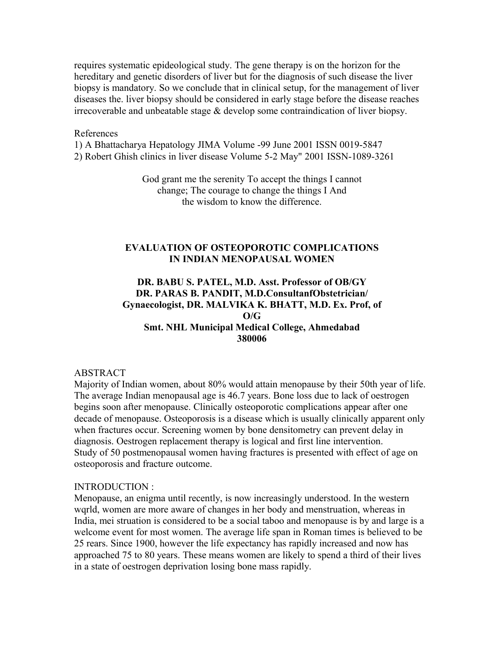requires systematic epideological study. The gene therapy is on the horizon for the hereditary and genetic disorders of liver but for the diagnosis of such disease the liver biopsy is mandatory. So we conclude that in clinical setup, for the management of liver diseases the. liver biopsy should be considered in early stage before the disease reaches irrecoverable and unbeatable stage & develop some contraindication of liver biopsy.

#### References

1) A Bhattacharya Hepatology JIMA Volume -99 June 2001 ISSN 0019-5847 2) Robert Ghish clinics in liver disease Volume 5-2 May" 2001 ISSN-1089-3261

> God grant me the serenity To accept the things I cannot change; The courage to change the things I And the wisdom to know the difference.

#### **EVALUATION OF OSTEOPOROTIC COMPLICATIONS IN INDIAN MENOPAUSAL WOMEN**

## **DR. BABU S. PATEL, M.D. Asst. Professor of OB/GY DR. PARAS B. PANDIT, M.D.ConsultanfObstetrician/ Gynaecologist, DR. MALVIKA K. BHATT, M.D. Ex. Prof, of O/G Smt. NHL Municipal Medical College, Ahmedabad 380006**

#### ABSTRACT

Majority of Indian women, about 80% would attain menopause by their 50th year of life. The average Indian menopausal age is 46.7 years. Bone loss due to lack of oestrogen begins soon after menopause. Clinically osteoporotic complications appear after one decade of menopause. Osteoporosis is a disease which is usually clinically apparent only when fractures occur. Screening women by bone densitometry can prevent delay in diagnosis. Oestrogen replacement therapy is logical and first line intervention. Study of 50 postmenopausal women having fractures is presented with effect of age on osteoporosis and fracture outcome.

#### INTRODUCTION :

Menopause, an enigma until recently, is now increasingly understood. In the western wqrld, women are more aware of changes in her body and menstruation, whereas in India, mei struation is considered to be a social taboo and menopause is by and large is a welcome event for most women. The average life span in Roman times is believed to be 25 rears. Since 1900, however the life expectancy has rapidly increased and now has approached 75 to 80 years. These means women are likely to spend a third of their lives in a state of oestrogen deprivation losing bone mass rapidly.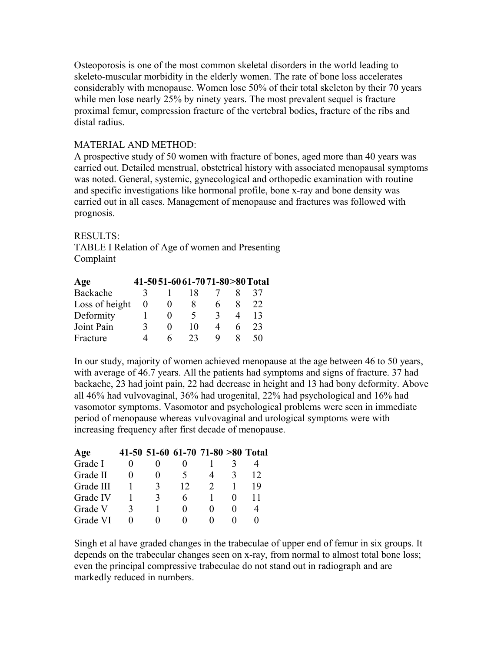Osteoporosis is one of the most common skeletal disorders in the world leading to skeleto-muscular morbidity in the elderly women. The rate of bone loss accelerates considerably with menopause. Women lose 50% of their total skeleton by their 70 years while men lose nearly 25% by ninety years. The most prevalent sequel is fracture proximal femur, compression fracture of the vertebral bodies, fracture of the ribs and distal radius.

## MATERIAL AND METHOD:

A prospective study of 50 women with fracture of bones, aged more than 40 years was carried out. Detailed menstrual, obstetrical history with associated menopausal symptoms was noted. General, systemic, gynecological and orthopedic examination with routine and specific investigations like hormonal profile, bone x-ray and bone density was carried out in all cases. Management of menopause and fractures was followed with prognosis.

#### RESULTS:

TABLE I Relation of Age of women and Presenting Complaint

| Age            |          |                   | 41-5051-6061-7071-80>80 Total |   |   |    |
|----------------|----------|-------------------|-------------------------------|---|---|----|
| Backache       |          |                   | 18                            |   |   | 37 |
| Loss of height | $\theta$ |                   | 8                             |   |   | 22 |
| Deformity      |          | $\mathbf{\Omega}$ | $\rightarrow$                 |   |   | 13 |
| Joint Pain     | 3        | $\mathbf{\Omega}$ | 10                            |   | 6 | 23 |
| Fracture       |          | 6                 | 23                            | Q |   | 50 |

In our study, majority of women achieved menopause at the age between 46 to 50 years, with average of 46.7 years. All the patients had symptoms and signs of fracture. 37 had backache, 23 had joint pain, 22 had decrease in height and 13 had bony deformity. Above all 46% had vulvovaginal, 36% had urogenital, 22% had psychological and 16% had vasomotor symptoms. Vasomotor and psychological problems were seen in immediate period of menopause whereas vulvovaginal and urological symptoms were with increasing frequency after first decade of menopause.

| Age       |   | 41-50 51-60 61-70 71-80 > 80 Total |   |    |
|-----------|---|------------------------------------|---|----|
| Grade I   |   |                                    |   |    |
| Grade II  |   | 5                                  | 3 | 12 |
| Grade III | 3 | 12                                 |   | 19 |
| Grade IV  | 3 | 6                                  |   |    |
| Grade V   |   |                                    |   |    |
| Grade VI  |   | $^{\circ}$                         |   |    |

Singh et al have graded changes in the trabeculae of upper end of femur in six groups. It depends on the trabecular changes seen on x-ray, from normal to almost total bone loss; even the principal compressive trabeculae do not stand out in radiograph and are markedly reduced in numbers.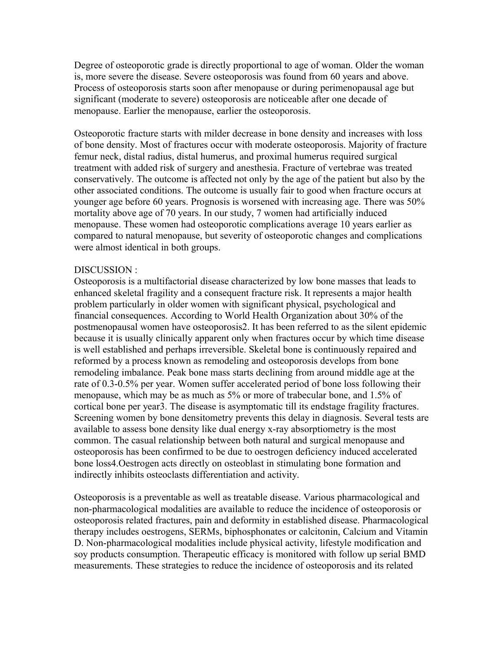Degree of osteoporotic grade is directly proportional to age of woman. Older the woman is, more severe the disease. Severe osteoporosis was found from 60 years and above. Process of osteoporosis starts soon after menopause or during perimenopausal age but significant (moderate to severe) osteoporosis are noticeable after one decade of menopause. Earlier the menopause, earlier the osteoporosis.

Osteoporotic fracture starts with milder decrease in bone density and increases with loss of bone density. Most of fractures occur with moderate osteoporosis. Majority of fracture femur neck, distal radius, distal humerus, and proximal humerus required surgical treatment with added risk of surgery and anesthesia. Fracture of vertebrae was treated conservatively. The outcome is affected not only by the age of the patient but also by the other associated conditions. The outcome is usually fair to good when fracture occurs at younger age before 60 years. Prognosis is worsened with increasing age. There was 50% mortality above age of 70 years. In our study, 7 women had artificially induced menopause. These women had osteoporotic complications average 10 years earlier as compared to natural menopause, but severity of osteoporotic changes and complications were almost identical in both groups.

#### DISCUSSION :

Osteoporosis is a multifactorial disease characterized by low bone masses that leads to enhanced skeletal fragility and a consequent fracture risk. It represents a major health problem particularly in older women with significant physical, psychological and financial consequences. According to World Health Organization about 30% of the postmenopausal women have osteoporosis2. It has been referred to as the silent epidemic because it is usually clinically apparent only when fractures occur by which time disease is well established and perhaps irreversible. Skeletal bone is continuously repaired and reformed by a process known as remodeling and osteoporosis develops from bone remodeling imbalance. Peak bone mass starts declining from around middle age at the rate of 0.3-0.5% per year. Women suffer accelerated period of bone loss following their menopause, which may be as much as 5% or more of trabecular bone, and 1.5% of cortical bone per year3. The disease is asymptomatic till its endstage fragility fractures. Screening women by bone densitometry prevents this delay in diagnosis. Several tests are available to assess bone density like dual energy x-ray absorptiometry is the most common. The casual relationship between both natural and surgical menopause and osteoporosis has been confirmed to be due to oestrogen deficiency induced accelerated bone loss4.Oestrogen acts directly on osteoblast in stimulating bone formation and indirectly inhibits osteoclasts differentiation and activity.

Osteoporosis is a preventable as well as treatable disease. Various pharmacological and non-pharmacological modalities are available to reduce the incidence of osteoporosis or osteoporosis related fractures, pain and deformity in established disease. Pharmacological therapy includes oestrogens, SERMs, biphosphonates or calcitonin, Calcium and Vitamin D. Non-pharmacological modalities include physical activity, lifestyle modification and soy products consumption. Therapeutic efficacy is monitored with follow up serial BMD measurements. These strategies to reduce the incidence of osteoporosis and its related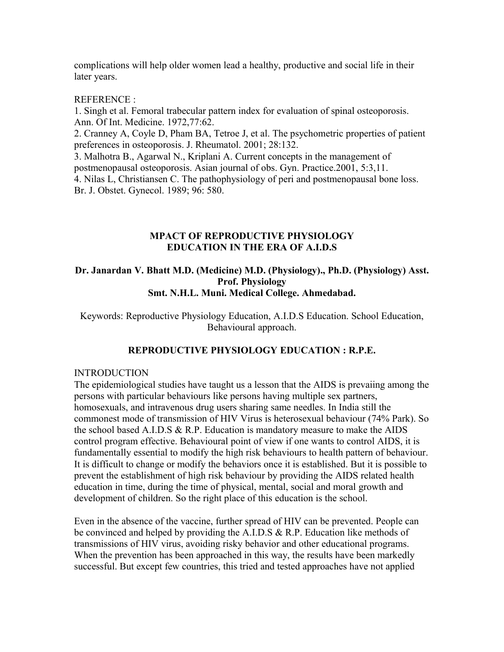complications will help older women lead a healthy, productive and social life in their later years.

REFERENCE :

1. Singh et al. Femoral trabecular pattern index for evaluation of spinal osteoporosis. Ann. Of Int. Medicine. 1972,77:62.

2. Cranney A, Coyle D, Pham BA, Tetroe J, et al. The psychometric properties of patient preferences in osteoporosis. J. Rheumatol. 2001; 28:132.

3. Malhotra B., Agarwal N., Kriplani A. Current concepts in the management of postmenopausal osteoporosis. Asian journal of obs. Gyn. Practice.2001, 5:3,11. 4. Nilas L, Christiansen C. The pathophysiology of peri and postmenopausal bone loss. Br. J. Obstet. Gynecol. 1989; 96: 580.

## **MPACT OF REPRODUCTIVE PHYSIOLOGY EDUCATION IN THE ERA OF A.I.D.S**

#### **Dr. Janardan V. Bhatt M.D. (Medicine) M.D. (Physiology)., Ph.D. (Physiology) Asst. Prof. Physiology Smt. N.H.L. Muni. Medical College. Ahmedabad.**

Keywords: Reproductive Physiology Education, A.I.D.S Education. School Education, Behavioural approach.

## **REPRODUCTIVE PHYSIOLOGY EDUCATION : R.P.E.**

#### INTRODUCTION

The epidemiological studies have taught us a lesson that the AIDS is prevaiing among the persons with particular behaviours like persons having multiple sex partners, homosexuals, and intravenous drug users sharing same needles. In India still the commonest mode of transmission of HIV Virus is heterosexual behaviour (74% Park). So the school based A.I.D.S  $&$  R.P. Education is mandatory measure to make the AIDS control program effective. Behavioural point of view if one wants to control AIDS, it is fundamentally essential to modify the high risk behaviours to health pattern of behaviour. It is difficult to change or modify the behaviors once it is established. But it is possible to prevent the establishment of high risk behaviour by providing the AIDS related health education in time, during the time of physical, mental, social and moral growth and development of children. So the right place of this education is the school.

Even in the absence of the vaccine, further spread of HIV can be prevented. People can be convinced and helped by providing the A.I.D.S & R.P. Education like methods of transmissions of HIV virus, avoiding risky behavior and other educational programs. When the prevention has been approached in this way, the results have been markedly successful. But except few countries, this tried and tested approaches have not applied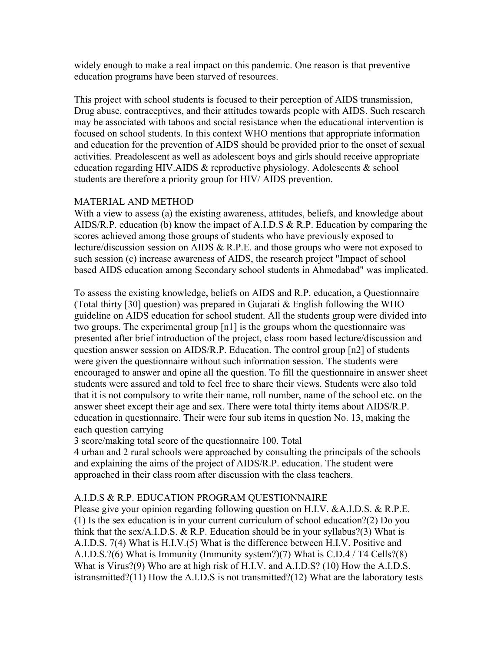widely enough to make a real impact on this pandemic. One reason is that preventive education programs have been starved of resources.

This project with school students is focused to their perception of AIDS transmission, Drug abuse, contraceptives, and their attitudes towards people with AIDS. Such research may be associated with taboos and social resistance when the educational intervention is focused on school students. In this context WHO mentions that appropriate information and education for the prevention of AIDS should be provided prior to the onset of sexual activities. Preadolescent as well as adolescent boys and girls should receive appropriate education regarding HIV.AIDS & reproductive physiology. Adolescents & school students are therefore a priority group for HIV/ AIDS prevention.

## MATERIAL AND METHOD

With a view to assess (a) the existing awareness, attitudes, beliefs, and knowledge about AIDS/R.P. education (b) know the impact of A.I.D.S & R.P. Education by comparing the scores achieved among those groups of students who have previously exposed to lecture/discussion session on AIDS & R.P.E. and those groups who were not exposed to such session (c) increase awareness of AIDS, the research project "Impact of school based AIDS education among Secondary school students in Ahmedabad" was implicated.

To assess the existing knowledge, beliefs on AIDS and R.P. education, a Questionnaire (Total thirty [30] question) was prepared in Gujarati  $&$  English following the WHO guideline on AIDS education for school student. All the students group were divided into two groups. The experimental group [n1] is the groups whom the questionnaire was presented after brief introduction of the project, class room based lecture/discussion and question answer session on AIDS/R.P. Education. The control group [n2] of students were given the questionnaire without such information session. The students were encouraged to answer and opine all the question. To fill the questionnaire in answer sheet students were assured and told to feel free to share their views. Students were also told that it is not compulsory to write their name, roll number, name of the school etc. on the answer sheet except their age and sex. There were total thirty items about AIDS/R.P. education in questionnaire. Their were four sub items in question No. 13, making the each question carrying

3 score/making total score of the questionnaire 100. Total

4 urban and 2 rural schools were approached by consulting the principals of the schools and explaining the aims of the project of AIDS/R.P. education. The student were approached in their class room after discussion with the class teachers.

## A.I.D.S & R.P. EDUCATION PROGRAM QUESTIONNAIRE

Please give your opinion regarding following question on H.I.V. &A.I.D.S. & R.P.E. (1) Is the sex education is in your current curriculum of school education?(2) Do you think that the sex/A.I.D.S. & R.P. Education should be in your syllabus?(3) What is A.I.D.S. 7(4) What is H.I.V.(5) What is the difference between H.I.V. Positive and A.I.D.S.?(6) What is Immunity (Immunity system?)(7) What is C.D.4 / T4 Cells?(8) What is Virus?(9) Who are at high risk of H.I.V. and A.I.D.S? (10) How the A.I.D.S. istransmitted?(11) How the A.I.D.S is not transmitted?(12) What are the laboratory tests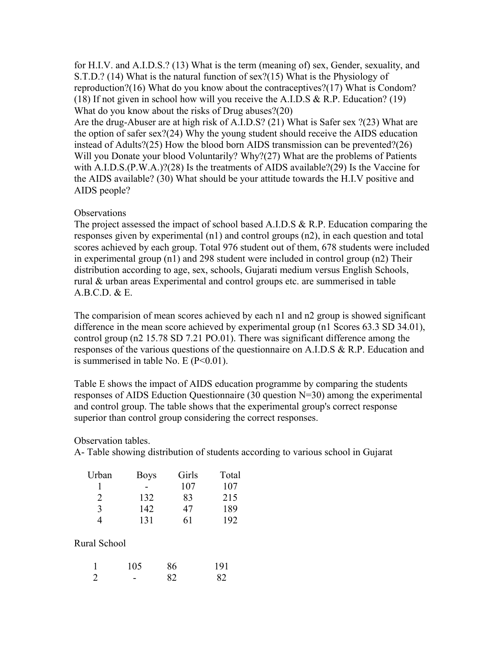for H.I.V. and A.I.D.S.? (13) What is the term (meaning of) sex, Gender, sexuality, and S.T.D.? (14) What is the natural function of sex?(15) What is the Physiology of reproduction?(16) What do you know about the contraceptives?(17) What is Condom? (18) If not given in school how will you receive the A.I.D.S & R.P. Education? (19) What do you know about the risks of Drug abuses?(20)

Are the drug-Abuser are at high risk of A.I.D.S? (21) What is Safer sex ?(23) What are the option of safer sex?(24) Why the young student should receive the AIDS education instead of Adults?(25) How the blood born AIDS transmission can be prevented?(26) Will you Donate your blood Voluntarily? Why?(27) What are the problems of Patients with A.I.D.S.(P.W.A.)?(28) Is the treatments of AIDS available?(29) Is the Vaccine for the AIDS available? (30) What should be your attitude towards the H.I.V positive and AIDS people?

#### **Observations**

The project assessed the impact of school based A.I.D.S & R.P. Education comparing the responses given by experimental (n1) and control groups (n2), in each question and total scores achieved by each group. Total 976 student out of them, 678 students were included in experimental group (n1) and 298 student were included in control group (n2) Their distribution according to age, sex, schools, Gujarati medium versus English Schools, rural & urban areas Experimental and control groups etc. are summerised in table A.B.C.D. & E.

The comparision of mean scores achieved by each n1 and n2 group is showed significant difference in the mean score achieved by experimental group (n1 Scores 63.3 SD 34.01), control group (n2 15.78 SD 7.21 PO.01). There was significant difference among the responses of the various questions of the questionnaire on A.I.D.S & R.P. Education and is summerised in table No. E  $(P<0.01)$ .

Table E shows the impact of AIDS education programme by comparing the students responses of AIDS Eduction Questionnaire (30 question N=30) among the experimental and control group. The table shows that the experimental group's correct response superior than control group considering the correct responses.

#### Observation tables.

A- Table showing distribution of students according to various school in Gujarat

| Urban                       | <b>Boys</b> | Girls | Total |
|-----------------------------|-------------|-------|-------|
|                             |             | 107   | 107   |
| $\mathcal{D}_{\mathcal{L}}$ | 132         | 83    | 215   |
| 3                           | 142         | 47    | 189   |
|                             | 131         | 61    | 192   |

#### Rural School

|                | 105 | 86 | 191 |
|----------------|-----|----|-----|
| $\overline{2}$ |     | 82 | 82  |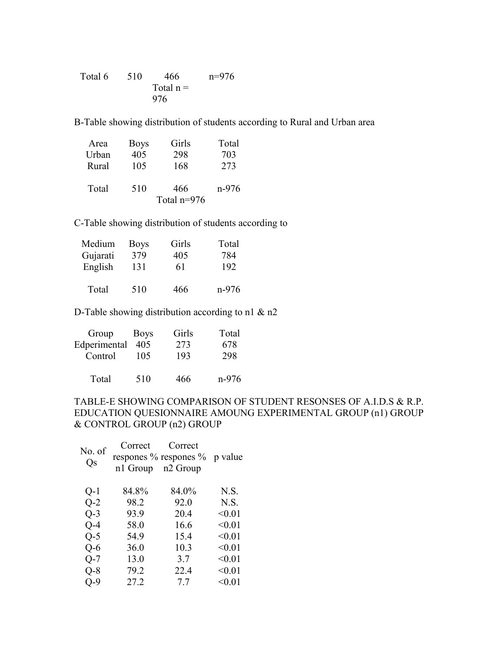Total 6 510 466 n=976 Total  $n =$ 976

B-Table showing distribution of students according to Rural and Urban area

| Area  | <b>Boys</b> | Girls         | Total |
|-------|-------------|---------------|-------|
| Urban | 405         | 298           | 703   |
| Rural | 105         | 168           | 273   |
| Total | 510         | 466           | n-976 |
|       |             |               |       |
|       |             | Total $n=976$ |       |

C-Table showing distribution of students according to

| Medium   | <b>Boys</b> | Girls | Total   |
|----------|-------------|-------|---------|
| Gujarati | 379         | 405   | 784     |
| English  | 131         | 61    | 192     |
| Total    | 510         | 466   | $n-976$ |

D-Table showing distribution according to n1  $\&$  n2

| Group        | <b>Boys</b> | Girls | Total   |
|--------------|-------------|-------|---------|
| Edperimental | 405         | 273   | 678     |
| Control      | 105         | 193   | 298     |
|              |             |       |         |
| Total        | 510         | 466   | $n-976$ |

## TABLE-E SHOWING COMPARISON OF STUDENT RESONSES OF A.I.D.S & R.P. EDUCATION QUESIONNAIRE AMOUNG EXPERIMENTAL GROUP (n1) GROUP & CONTROL GROUP (n2) GROUP

| No. of<br>Qs | Correct<br>n1 Group | Correct<br>respones % respones %<br>n <sub>2</sub> Group | p value |
|--------------|---------------------|----------------------------------------------------------|---------|
| $Q-1$        | 84.8%               | 84.0%                                                    | N.S.    |
| $Q-2$        | 98.2                | 92.0                                                     | N.S.    |
| $O-3$        | 93.9                | 20.4                                                     | < 0.01  |
| $O-4$        | 58.0                | 16.6                                                     | < 0.01  |
| $O-5$        | 54.9                | 15.4                                                     | < 0.01  |
| $O-6$        | 36.0                | 10.3                                                     | < 0.01  |
| $Q-7$        | 13.0                | 3.7                                                      | < 0.01  |
| $Q-8$        | 79.2                | 22.4                                                     | < 0.01  |
| Q-9          | 27.2                | 7.7                                                      | < 0.01  |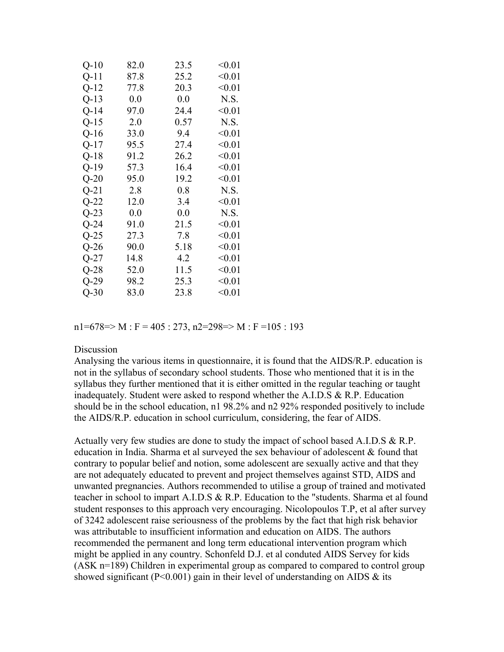| $Q-10$ | 82.0 | 23.5 | < 0.01 |
|--------|------|------|--------|
| $Q-11$ | 87.8 | 25.2 | < 0.01 |
| $Q-12$ | 77.8 | 20.3 | < 0.01 |
| $Q-13$ | 0.0  | 0.0  | N.S.   |
| $Q-14$ | 97.0 | 24.4 | < 0.01 |
| $Q-15$ | 2.0  | 0.57 | N.S.   |
| $Q-16$ | 33.0 | 9.4  | < 0.01 |
| $Q-17$ | 95.5 | 27.4 | < 0.01 |
| $Q-18$ | 91.2 | 26.2 | < 0.01 |
| $Q-19$ | 57.3 | 16.4 | < 0.01 |
| $Q-20$ | 95.0 | 19.2 | < 0.01 |
| $Q-21$ | 2.8  | 0.8  | N.S.   |
| $Q-22$ | 12.0 | 3.4  | < 0.01 |
| $Q-23$ | 0.0  | 0.0  | N.S.   |
| $Q-24$ | 91.0 | 21.5 | < 0.01 |
| $Q-25$ | 27.3 | 7.8  | < 0.01 |
| $Q-26$ | 90.0 | 5.18 | < 0.01 |
| $Q-27$ | 14.8 | 4.2  | < 0.01 |
| $Q-28$ | 52.0 | 11.5 | < 0.01 |
| $Q-29$ | 98.2 | 25.3 | < 0.01 |
| $Q-30$ | 83.0 | 23.8 | < 0.01 |

 $n1=678 \Rightarrow M : F = 405 : 273$ ,  $n2=298 \Rightarrow M : F = 105 : 193$ 

#### **Discussion**

Analysing the various items in questionnaire, it is found that the AIDS/R.P. education is not in the syllabus of secondary school students. Those who mentioned that it is in the syllabus they further mentioned that it is either omitted in the regular teaching or taught inadequately. Student were asked to respond whether the A.I.D.S & R.P. Education should be in the school education, n1 98.2% and n2 92% responded positively to include the AIDS/R.P. education in school curriculum, considering, the fear of AIDS.

Actually very few studies are done to study the impact of school based A.I.D.S & R.P. education in India. Sharma et al surveyed the sex behaviour of adolescent & found that contrary to popular belief and notion, some adolescent are sexually active and that they are not adequately educated to prevent and project themselves against STD, AIDS and unwanted pregnancies. Authors recommended to utilise a group of trained and motivated teacher in school to impart A.I.D.S & R.P. Education to the "students. Sharma et al found student responses to this approach very encouraging. Nicolopoulos T.P, et al after survey of 3242 adolescent raise seriousness of the problems by the fact that high risk behavior was attributable to insufficient information and education on AIDS. The authors recommended the permanent and long term educational intervention program which might be applied in any country. Schonfeld D.J. et al conduted AIDS Servey for kids (ASK n=189) Children in experimental group as compared to compared to control group showed significant ( $P<0.001$ ) gain in their level of understanding on AIDS  $\&$  its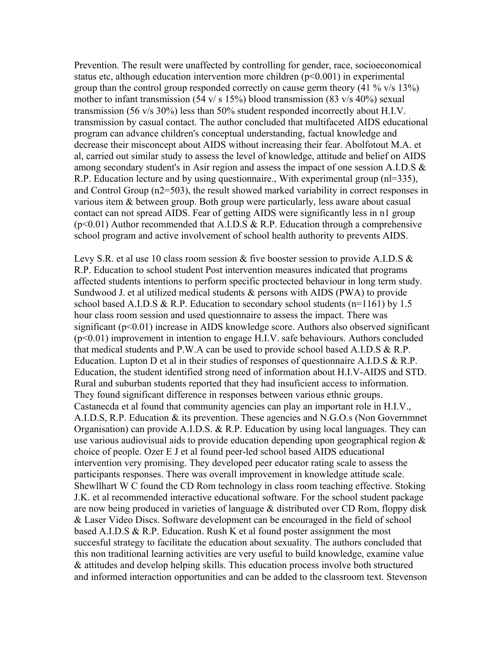Prevention. The result were unaffected by controlling for gender, race, socioeconomical status etc, although education intervention more children (p<0.001) in experimental group than the control group responded correctly on cause germ theory (41 % v/s 13%) mother to infant transmission (54 v/ s 15%) blood transmission (83 v/s 40%) sexual transmission (56 v/s 30%) less than 50% student responded incorrectly about H.I.V. transmission by casual contact. The author concluded that multifaceted AIDS educational program can advance children's conceptual understanding, factual knowledge and decrease their misconcept about AIDS without increasing their fear. Abolfotout M.A. et al, carried out similar study to assess the level of knowledge, attitude and belief on AIDS among secondary student's in Asir region and assess the impact of one session A.I.D.S & R.P. Education lecture and by using questionnaire., With experimental group (nl=335), and Control Group (n2=503), the result showed marked variability in correct responses in various item & between group. Both group were particularly, less aware about casual contact can not spread AIDS. Fear of getting AIDS were significantly less in n1 group  $(p<0.01)$  Author recommended that A.I.D.S & R.P. Education through a comprehensive school program and active involvement of school health authority to prevents AIDS.

Levy S.R. et al use 10 class room session & five booster session to provide A.I.D.S & R.P. Education to school student Post intervention measures indicated that programs affected students intentions to perform specific proctected behaviour in long term study. Sundwood J. et al utilized medical students & persons with AIDS (PWA) to provide school based A.I.D.S & R.P. Education to secondary school students ( $n=1161$ ) by 1.5 hour class room session and used questionnaire to assess the impact. There was significant ( $p<0.01$ ) increase in AIDS knowledge score. Authors also observed significant (p<0.01) improvement in intention to engage H.I.V. safe behaviours. Authors concluded that medical students and P.W.A can be used to provide school based A.I.D.S & R.P. Education. Lupton D et al in their studies of responses of questionnaire A.I.D.S & R.P. Education, the student identified strong need of information about H.I.V-AIDS and STD. Rural and suburban students reported that they had insuficient access to information. They found significant difference in responses between various ethnic groups. Castanecda et al found that community agencies can play an important role in H.I.V., A.I.D.S, R.P. Education & its prevention. These agencies and N.G.O.s (Non Governmnet Organisation) can provide A.I.D.S.  $\&$  R.P. Education by using local languages. They can use various audiovisual aids to provide education depending upon geographical region  $\&$ choice of people. Ozer E J et al found peer-led school based AIDS educational intervention very promising. They developed peer educator rating scale to assess the participants responses. There was overall improvement in knowledge attitude scale. Shewllhart W C found the CD Rom technology in class room teaching effective. Stoking J.K. et al recommended interactive educational software. For the school student package are now being produced in varieties of language & distributed over CD Rom, floppy disk & Laser Video Discs. Software development can be encouraged in the field of school based A.I.D.S & R.P. Education. Rush K et al found poster assignment the most succesful strategy to facilitate the education about sexuality. The authors concluded that this non traditional learning activities are very useful to build knowledge, examine value & attitudes and develop helping skills. This education process involve both structured and informed interaction opportunities and can be added to the classroom text. Stevenson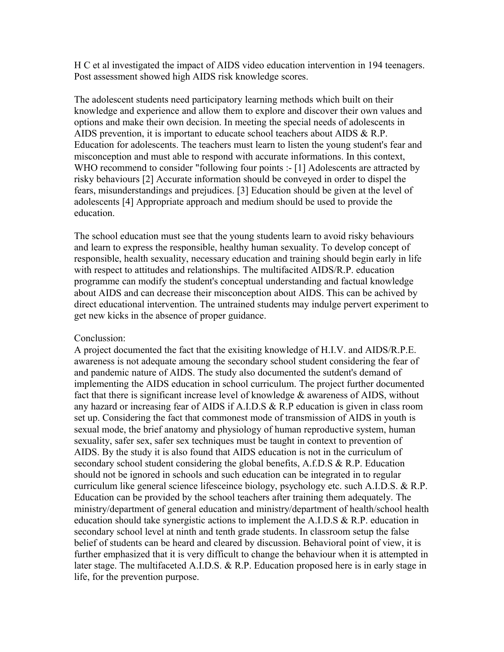H C et al investigated the impact of AIDS video education intervention in 194 teenagers. Post assessment showed high AIDS risk knowledge scores.

The adolescent students need participatory learning methods which built on their knowledge and experience and allow them to explore and discover their own values and options and make their own decision. In meeting the special needs of adolescents in AIDS prevention, it is important to educate school teachers about AIDS & R.P. Education for adolescents. The teachers must learn to listen the young student's fear and misconception and must able to respond with accurate informations. In this context, WHO recommend to consider "following four points :- [1] Adolescents are attracted by risky behaviours [2] Accurate information should be conveyed in order to dispel the fears, misunderstandings and prejudices. [3] Education should be given at the level of adolescents [4] Appropriate approach and medium should be used to provide the education.

The school education must see that the young students learn to avoid risky behaviours and learn to express the responsible, healthy human sexuality. To develop concept of responsible, health sexuality, necessary education and training should begin early in life with respect to attitudes and relationships. The multifacited AIDS/R.P. education programme can modify the student's conceptual understanding and factual knowledge about AIDS and can decrease their misconception about AIDS. This can be achived by direct educational intervention. The untrained students may indulge pervert experiment to get new kicks in the absence of proper guidance.

#### Conclussion:

A project documented the fact that the exisiting knowledge of H.I.V. and AIDS/R.P.E. awareness is not adequate amoung the secondary school student considering the fear of and pandemic nature of AIDS. The study also documented the sutdent's demand of implementing the AIDS education in school curriculum. The project further documented fact that there is significant increase level of knowledge  $\&$  awareness of AIDS, without any hazard or increasing fear of AIDS if A.I.D.S & R.P education is given in class room set up. Considering the fact that commonest mode of transmission of AIDS in youth is sexual mode, the brief anatomy and physiology of human reproductive system, human sexuality, safer sex, safer sex techniques must be taught in context to prevention of AIDS. By the study it is also found that AIDS education is not in the curriculum of secondary school student considering the global benefits, A.f.D.S & R.P. Education should not be ignored in schools and such education can be integrated in to regular curriculum like general science lifesceince biology, psychology etc. such A.I.D.S. & R.P. Education can be provided by the school teachers after training them adequately. The ministry/department of general education and ministry/department of health/school health education should take synergistic actions to implement the A.I.D.S  $\&$  R.P. education in secondary school level at ninth and tenth grade students. In classroom setup the false belief of students can be heard and cleared by discussion. Behavioral point of view, it is further emphasized that it is very difficult to change the behaviour when it is attempted in later stage. The multifaceted A.I.D.S. & R.P. Education proposed here is in early stage in life, for the prevention purpose.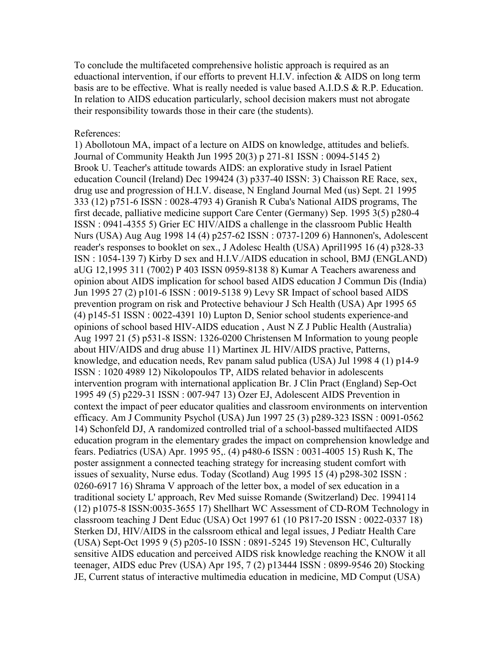To conclude the multifaceted comprehensive holistic approach is required as an eduactional intervention, if our efforts to prevent H.I.V. infection & AIDS on long term basis are to be effective. What is really needed is value based A.I.D.S & R.P. Education. In relation to AIDS education particularly, school decision makers must not abrogate their responsibility towards those in their care (the students).

#### References:

1) Abollotoun MA, impact of a lecture on AIDS on knowledge, attitudes and beliefs. Journal of Community Heakth Jun 1995 20(3) p 271-81 ISSN : 0094-5145 2) Brook U. Teacher's attitude towards AIDS: an explorative study in Israel Patient education Council (Ireland) Dec 199424 (3) p337-40 ISSN: 3) Chaisson RE Race, sex, drug use and progression of H.I.V. disease, N England Journal Med (us) Sept. 21 1995 333 (12) p751-6 ISSN : 0028-4793 4) Granish R Cuba's National AIDS programs, The first decade, palliative medicine support Care Center (Germany) Sep. 1995 3(5) p280-4 ISSN : 0941-4355 5) Grier EC HIV/AIDS a challenge in the classroom Public Health Nurs (USA) Aug Aug 1998 14 (4) p257-62 ISSN : 0737-1209 6) Hannonen's, Adolescent reader's responses to booklet on sex., J Adolesc Health (USA) April1995 16 (4) p328-33 ISN : 1054-139 7) Kirby D sex and H.I.V./AIDS education in school, BMJ (ENGLAND) aUG 12,1995 311 (7002) P 403 ISSN 0959-8138 8) Kumar A Teachers awareness and opinion about AIDS implication for school based AIDS education J Commun Dis (India) Jun 1995 27 (2) p101-6 ISSN : 0019-5138 9) Levy SR Impact of school based AIDS prevention program on risk and Protective behaviour J Sch Health (USA) Apr 1995 65 (4) p145-51 ISSN : 0022-4391 10) Lupton D, Senior school students experience-and opinions of school based HIV-AIDS education , Aust N Z J Public Health (Australia) Aug 1997 21 (5) p531-8 ISSN: 1326-0200 Christensen M Information to young people about HIV/AIDS and drug abuse 11) Martinex JL HIV/AIDS practive, Patterns, knowledge, and education needs, Rev panam salud publica (USA) Jul 1998 4 (1) p14-9 ISSN : 1020 4989 12) Nikolopoulos TP, AIDS related behavior in adolescents intervention program with international application Br. J Clin Pract (England) Sep-Oct 1995 49 (5) p229-31 ISSN : 007-947 13) Ozer EJ, Adolescent AIDS Prevention in context the impact of peer educator qualities and classroom environments on intervention efficacy. Am J Community Psychol (USA) Jun 1997 25 (3) p289-323 ISSN : 0091-0562 14) Schonfeld DJ, A randomized controlled trial of a school-bassed multifaected AIDS education program in the elementary grades the impact on comprehension knowledge and fears. Pediatrics (USA) Apr. 1995 95,. (4) p480-6 ISSN : 0031-4005 15) Rush K, The poster assignment a connected teaching strategy for increasing student comfort with issues of sexuality, Nurse edus. Today (Scotland) Aug 1995 15 (4) p298-302 ISSN : 0260-6917 16) Shrama V approach of the letter box, a model of sex education in a traditional society L' approach, Rev Med suisse Romande (Switzerland) Dec. 1994114 (12) p1075-8 ISSN:0035-3655 17) Shellhart WC Assessment of CD-ROM Technology in classroom teaching J Dent Educ (USA) Oct 1997 61 (10 P817-20 ISSN : 0022-0337 18) Sterken DJ, HIV/AIDS in the calssroom ethical and legal issues, J Pediatr Health Care (USA) Sept-Oct 1995 9 (5) p205-10 ISSN : 0891-5245 19) Stevenson HC, Culturally sensitive AIDS education and perceived AIDS risk knowledge reaching the KNOW it all teenager, AIDS educ Prev (USA) Apr 195, 7 (2) p13444 ISSN : 0899-9546 20) Stocking JE, Current status of interactive multimedia education in medicine, MD Comput (USA)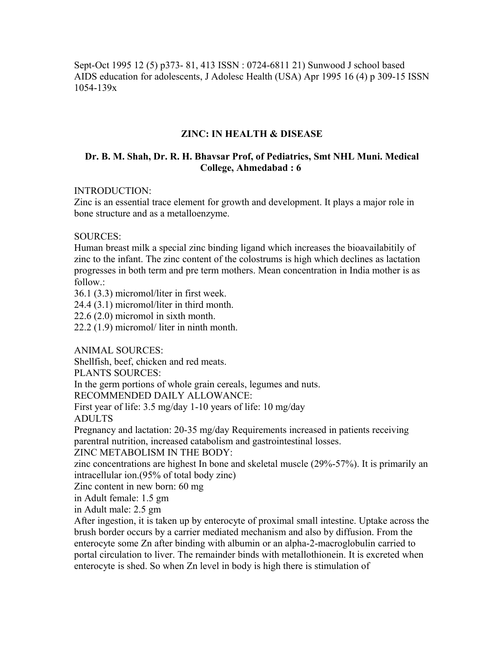Sept-Oct 1995 12 (5) p373- 81, 413 ISSN : 0724-6811 21) Sunwood J school based AIDS education for adolescents, J Adolesc Health (USA) Apr 1995 16 (4) p 309-15 ISSN 1054-139x

#### **ZINC: IN HEALTH & DISEASE**

#### **Dr. B. M. Shah, Dr. R. H. Bhavsar Prof, of Pediatrics, Smt NHL Muni. Medical College, Ahmedabad : 6**

#### INTRODUCTION:

Zinc is an essential trace element for growth and development. It plays a major role in bone structure and as a metalloenzyme.

#### SOURCES:

Human breast milk a special zinc binding ligand which increases the bioavailabitily of zinc to the infant. The zinc content of the colostrums is high which declines as lactation progresses in both term and pre term mothers. Mean concentration in India mother is as follow.:

36.1 (3.3) micromol/liter in first week.

24.4 (3.1) micromol/liter in third month.

22.6 (2.0) micromol in sixth month.

22.2 (1.9) micromol/ liter in ninth month.

ANIMAL SOURCES:

Shellfish, beef, chicken and red meats.

PLANTS SOURCES:

In the germ portions of whole grain cereals, legumes and nuts.

RECOMMENDED DAILY ALLOWANCE:

First year of life: 3.5 mg/day 1-10 years of life: 10 mg/day ADULTS

Pregnancy and lactation: 20-35 mg/day Requirements increased in patients receiving parentral nutrition, increased catabolism and gastrointestinal losses.

ZINC METABOLISM IN THE BODY:

zinc concentrations are highest In bone and skeletal muscle (29%-57%). It is primarily an intracellular ion.(95% of total body zinc)

Zinc content in new born: 60 mg

in Adult female: 1.5 gm

in Adult male: 2.5 gm

After ingestion, it is taken up by enterocyte of proximal small intestine. Uptake across the brush border occurs by a carrier mediated mechanism and also by diffusion. From the enterocyte some Zn after binding with albumin or an alpha-2-macroglobulin carried to portal circulation to liver. The remainder binds with metallothionein. It is excreted when enterocyte is shed. So when Zn level in body is high there is stimulation of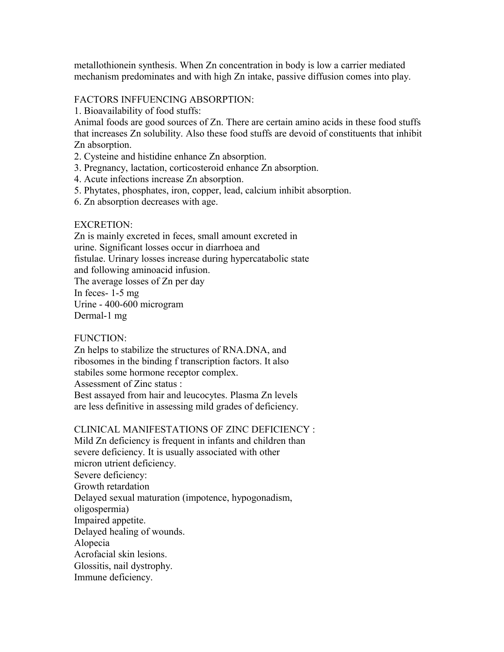metallothionein synthesis. When Zn concentration in body is low a carrier mediated mechanism predominates and with high Zn intake, passive diffusion comes into play.

#### FACTORS INFFUENCING ABSORPTION:

1. Bioavailability of food stuffs:

Animal foods are good sources of Zn. There are certain amino acids in these food stuffs that increases Zn solubility. Also these food stuffs are devoid of constituents that inhibit Zn absorption.

- 2. Cysteine and histidine enhance Zn absorption.
- 3. Pregnancy, lactation, corticosteroid enhance Zn absorption.
- 4. Acute infections increase Zn absorption.
- 5. Phytates, phosphates, iron, copper, lead, calcium inhibit absorption.
- 6. Zn absorption decreases with age.

#### EXCRETION:

Zn is mainly excreted in feces, small amount excreted in urine. Significant losses occur in diarrhoea and fistulae. Urinary losses increase during hypercatabolic state and following aminoacid infusion. The average losses of Zn per day In feces- 1-5 mg Urine - 400-600 microgram Dermal-1 mg

#### FUNCTION:

Zn helps to stabilize the structures of RNA.DNA, and ribosomes in the binding f transcription factors. It also stabiles some hormone receptor complex. Assessment of Zinc status : Best assayed from hair and leucocytes. Plasma Zn levels are less definitive in assessing mild grades of deficiency.

#### CLINICAL MANIFESTATIONS OF ZINC DEFICIENCY :

Mild Zn deficiency is frequent in infants and children than severe deficiency. It is usually associated with other micron utrient deficiency. Severe deficiency: Growth retardation Delayed sexual maturation (impotence, hypogonadism, oligospermia) Impaired appetite. Delayed healing of wounds. Alopecia Acrofacial skin lesions. Glossitis, nail dystrophy. Immune deficiency.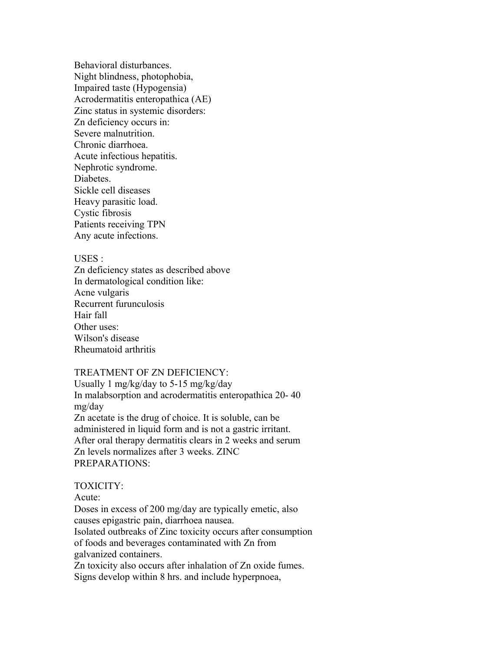Behavioral disturbances. Night blindness, photophobia, Impaired taste (Hypogensia) Acrodermatitis enteropathica (AE) Zinc status in systemic disorders: Zn deficiency occurs in: Severe malnutrition. Chronic diarrhoea. Acute infectious hepatitis. Nephrotic syndrome. **Diabetes** Sickle cell diseases Heavy parasitic load. Cystic fibrosis Patients receiving TPN Any acute infections.

#### USES :

Zn deficiency states as described above In dermatological condition like: Acne vulgaris Recurrent furunculosis Hair fall Other uses: Wilson's disease Rheumatoid arthritis

#### TREATMENT OF ZN DEFICIENCY:

Usually 1 mg/kg/day to 5-15 mg/kg/day In malabsorption and acrodermatitis enteropathica 20- 40 mg/day Zn acetate is the drug of choice. It is soluble, can be administered in liquid form and is not a gastric irritant. After oral therapy dermatitis clears in 2 weeks and serum Zn levels normalizes after 3 weeks. ZINC PREPARATIONS:

#### TOXICITY:

Acute:

Doses in excess of 200 mg/day are typically emetic, also causes epigastric pain, diarrhoea nausea.

Isolated outbreaks of Zinc toxicity occurs after consumption of foods and beverages contaminated with Zn from

galvanized containers.

Zn toxicity also occurs after inhalation of Zn oxide fumes. Signs develop within 8 hrs. and include hyperpnoea,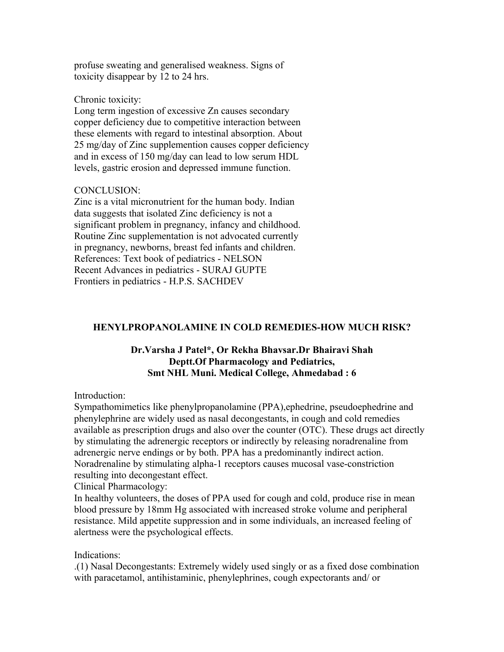profuse sweating and generalised weakness. Signs of toxicity disappear by 12 to 24 hrs.

#### Chronic toxicity:

Long term ingestion of excessive Zn causes secondary copper deficiency due to competitive interaction between these elements with regard to intestinal absorption. About 25 mg/day of Zinc supplemention causes copper deficiency and in excess of 150 mg/day can lead to low serum HDL levels, gastric erosion and depressed immune function.

#### CONCLUSION:

Zinc is a vital micronutrient for the human body. Indian data suggests that isolated Zinc deficiency is not a significant problem in pregnancy, infancy and childhood. Routine Zinc supplementation is not advocated currently in pregnancy, newborns, breast fed infants and children. References: Text book of pediatrics - NELSON Recent Advances in pediatrics - SURAJ GUPTE Frontiers in pediatrics - H.P.S. SACHDEV

#### **HENYLPROPANOLAMINE IN COLD REMEDIES-HOW MUCH RISK?**

#### **Dr.Varsha J Patel\*, Or Rekha Bhavsar.Dr Bhairavi Shah Deptt.Of Pharmacology and Pediatrics, Smt NHL Muni. Medical College, Ahmedabad : 6**

Introduction:

Sympathomimetics like phenylpropanolamine (PPA),ephedrine, pseudoephedrine and phenylephrine are widely used as nasal decongestants, in cough and cold remedies available as prescription drugs and also over the counter (OTC). These drugs act directly by stimulating the adrenergic receptors or indirectly by releasing noradrenaline from adrenergic nerve endings or by both. PPA has a predominantly indirect action. Noradrenaline by stimulating alpha-1 receptors causes mucosal vase-constriction resulting into decongestant effect.

Clinical Pharmacology:

In healthy volunteers, the doses of PPA used for cough and cold, produce rise in mean blood pressure by 18mm Hg associated with increased stroke volume and peripheral resistance. Mild appetite suppression and in some individuals, an increased feeling of alertness were the psychological effects.

#### Indications:

.(1) Nasal Decongestants: Extremely widely used singly or as a fixed dose combination with paracetamol, antihistaminic, phenylephrines, cough expectorants and/ or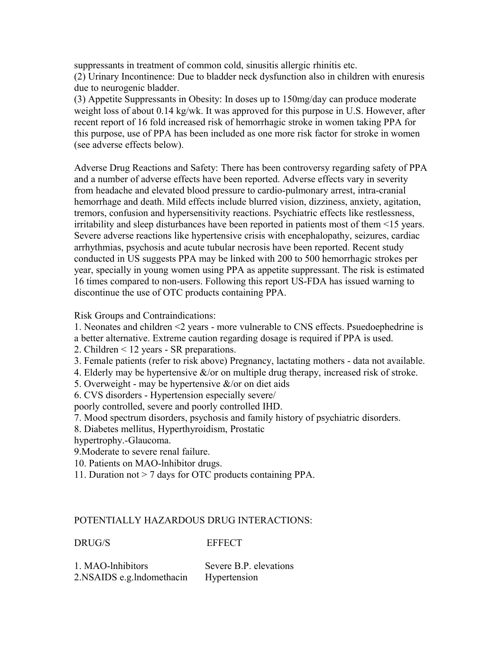suppressants in treatment of common cold, sinusitis allergic rhinitis etc. (2) Urinary Incontinence: Due to bladder neck dysfunction also in children with enuresis due to neurogenic bladder.

(3) Appetite Suppressants in Obesity: In doses up to 150mg/day can produce moderate weight loss of about 0.14 kg/wk. It was approved for this purpose in U.S. However, after recent report of 16 fold increased risk of hemorrhagic stroke in women taking PPA for this purpose, use of PPA has been included as one more risk factor for stroke in women (see adverse effects below).

Adverse Drug Reactions and Safety: There has been controversy regarding safety of PPA and a number of adverse effects have been reported. Adverse effects vary in severity from headache and elevated blood pressure to cardio-pulmonary arrest, intra-cranial hemorrhage and death. Mild effects include blurred vision, dizziness, anxiety, agitation, tremors, confusion and hypersensitivity reactions. Psychiatric effects like restlessness, irritability and sleep disturbances have been reported in patients most of them <15 years. Severe adverse reactions like hypertensive crisis with encephalopathy, seizures, cardiac arrhythmias, psychosis and acute tubular necrosis have been reported. Recent study conducted in US suggests PPA may be linked with 200 to 500 hemorrhagic strokes per year, specially in young women using PPA as appetite suppressant. The risk is estimated 16 times compared to non-users. Following this report US-FDA has issued warning to discontinue the use of OTC products containing PPA.

Risk Groups and Contraindications:

1. Neonates and children <2 years - more vulnerable to CNS effects. Psuedoephedrine is a better alternative. Extreme caution regarding dosage is required if PPA is used.

- 2. Children < 12 years SR preparations.
- 3. Female patients (refer to risk above) Pregnancy, lactating mothers data not available.
- 4. Elderly may be hypertensive  $\&$ /or on multiple drug therapy, increased risk of stroke.
- 5. Overweight may be hypertensive  $\&$ /or on diet aids
- 6. CVS disorders Hypertension especially severe/

poorly controlled, severe and poorly controlled IHD.

7. Mood spectrum disorders, psychosis and family history of psychiatric disorders.

8. Diabetes mellitus, Hyperthyroidism, Prostatic

hypertrophy.-Glaucoma.

- 9.Moderate to severe renal failure.
- 10. Patients on MAO-lnhibitor drugs.
- 11. Duration not > 7 days for OTC products containing PPA.

#### POTENTIALLY HAZARDOUS DRUG INTERACTIONS:

DRUG/S EFFECT

| 1. MAO-lnhibitors           | Severe B.P. elevations |
|-----------------------------|------------------------|
| 2. NSAIDS e.g. Indomethacin | Hypertension           |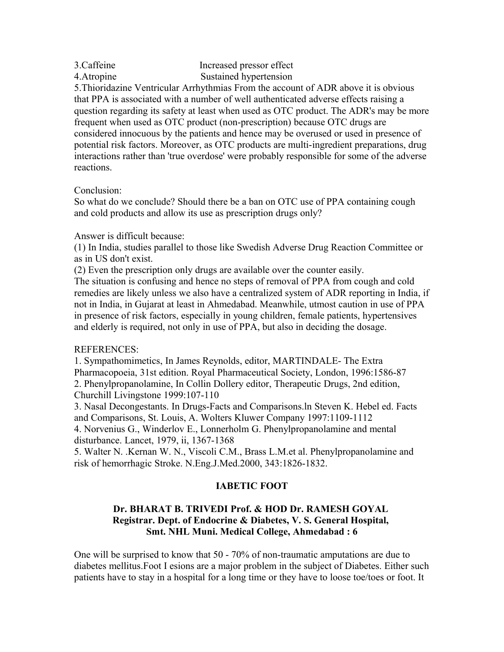| 3.Caffeine  | Increased pressor effect |
|-------------|--------------------------|
| 4. Atropine | Sustained hypertension   |

5.Thioridazine Ventricular Arrhythmias From the account of ADR above it is obvious that PPA is associated with a number of well authenticated adverse effects raising a question regarding its safety at least when used as OTC product. The ADR's may be more frequent when used as OTC product (non-prescription) because OTC drugs are considered innocuous by the patients and hence may be overused or used in presence of potential risk factors. Moreover, as OTC products are multi-ingredient preparations, drug interactions rather than 'true overdose' were probably responsible for some of the adverse reactions.

## Conclusion:

So what do we conclude? Should there be a ban on OTC use of PPA containing cough and cold products and allow its use as prescription drugs only?

#### Answer is difficult because:

(1) In India, studies parallel to those like Swedish Adverse Drug Reaction Committee or as in US don't exist.

(2) Even the prescription only drugs are available over the counter easily.

The situation is confusing and hence no steps of removal of PPA from cough and cold remedies are likely unless we also have a centralized system of ADR reporting in India, if not in India, in Gujarat at least in Ahmedabad. Meanwhile, utmost caution in use of PPA in presence of risk factors, especially in young children, female patients, hypertensives and elderly is required, not only in use of PPA, but also in deciding the dosage.

## REFERENCES:

1. Sympathomimetics, In James Reynolds, editor, MARTINDALE- The Extra Pharmacopoeia, 31st edition. Royal Pharmaceutical Society, London, 1996:1586-87 2. Phenylpropanolamine, In Collin Dollery editor, Therapeutic Drugs, 2nd edition, Churchill Livingstone 1999:107-110

3. Nasal Decongestants. In Drugs-Facts and Comparisons.ln Steven K. Hebel ed. Facts and Comparisons, St. Louis, A. Wolters Kluwer Company 1997:1109-1112 4. Norvenius G., Winderlov E., Lonnerholm G. Phenylpropanolamine and mental disturbance. Lancet, 1979, ii, 1367-1368

5. Walter N. .Kernan W. N., Viscoli C.M., Brass L.M.et al. Phenylpropanolamine and risk of hemorrhagic Stroke. N.Eng.J.Med.2000, 343:1826-1832.

## **IABETIC FOOT**

## **Dr. BHARAT B. TRIVEDI Prof. & HOD Dr. RAMESH GOYAL Registrar. Dept. of Endocrine & Diabetes, V. S. General Hospital, Smt. NHL Muni. Medical College, Ahmedabad : 6**

One will be surprised to know that 50 - 70% of non-traumatic amputations are due to diabetes mellitus.Foot I esions are a major problem in the subject of Diabetes. Either such patients have to stay in a hospital for a long time or they have to loose toe/toes or foot. It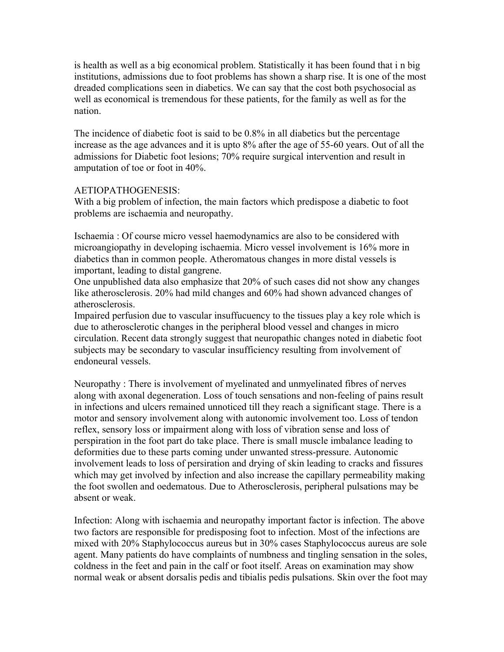is health as well as a big economical problem. Statistically it has been found that i n big institutions, admissions due to foot problems has shown a sharp rise. It is one of the most dreaded complications seen in diabetics. We can say that the cost both psychosocial as well as economical is tremendous for these patients, for the family as well as for the nation.

The incidence of diabetic foot is said to be 0.8% in all diabetics but the percentage increase as the age advances and it is upto 8% after the age of 55-60 years. Out of all the admissions for Diabetic foot lesions; 70% require surgical intervention and result in amputation of toe or foot in 40%.

#### AETIOPATHOGENESIS:

With a big problem of infection, the main factors which predispose a diabetic to foot problems are ischaemia and neuropathy.

Ischaemia : Of course micro vessel haemodynamics are also to be considered with microangiopathy in developing ischaemia. Micro vessel involvement is 16% more in diabetics than in common people. Atheromatous changes in more distal vessels is important, leading to distal gangrene.

One unpublished data also emphasize that 20% of such cases did not show any changes like atherosclerosis. 20% had mild changes and 60% had shown advanced changes of atherosclerosis.

Impaired perfusion due to vascular insuffucuency to the tissues play a key role which is due to atherosclerotic changes in the peripheral blood vessel and changes in micro circulation. Recent data strongly suggest that neuropathic changes noted in diabetic foot subjects may be secondary to vascular insufficiency resulting from involvement of endoneural vessels.

Neuropathy : There is involvement of myelinated and unmyelinated fibres of nerves along with axonal degeneration. Loss of touch sensations and non-feeling of pains result in infections and ulcers remained unnoticed till they reach a significant stage. There is a motor and sensory involvement along with autonomic involvement too. Loss of tendon reflex, sensory loss or impairment along with loss of vibration sense and loss of perspiration in the foot part do take place. There is small muscle imbalance leading to deformities due to these parts coming under unwanted stress-pressure. Autonomic involvement leads to loss of persiration and drying of skin leading to cracks and fissures which may get involved by infection and also increase the capillary permeability making the foot swollen and oedematous. Due to Atherosclerosis, peripheral pulsations may be absent or weak.

Infection: Along with ischaemia and neuropathy important factor is infection. The above two factors are responsible for predisposing foot to infection. Most of the infections are mixed with 20% Staphylococcus aureus but in 30% cases Staphylococcus aureus are sole agent. Many patients do have complaints of numbness and tingling sensation in the soles, coldness in the feet and pain in the calf or foot itself. Areas on examination may show normal weak or absent dorsalis pedis and tibialis pedis pulsations. Skin over the foot may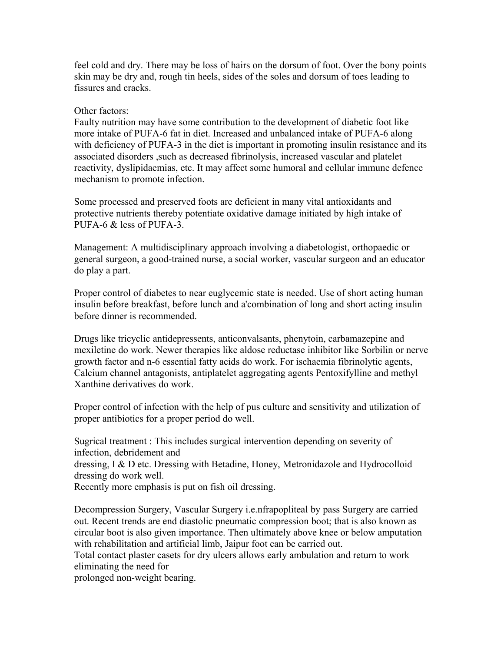feel cold and dry. There may be loss of hairs on the dorsum of foot. Over the bony points skin may be dry and, rough tin heels, sides of the soles and dorsum of toes leading to fissures and cracks.

#### Other factors:

Faulty nutrition may have some contribution to the development of diabetic foot like more intake of PUFA-6 fat in diet. Increased and unbalanced intake of PUFA-6 along with deficiency of PUFA-3 in the diet is important in promoting insulin resistance and its associated disorders ,such as decreased fibrinolysis, increased vascular and platelet reactivity, dyslipidaemias, etc. It may affect some humoral and cellular immune defence mechanism to promote infection.

Some processed and preserved foots are deficient in many vital antioxidants and protective nutrients thereby potentiate oxidative damage initiated by high intake of PUFA-6 & less of PUFA-3.

Management: A multidisciplinary approach involving a diabetologist, orthopaedic or general surgeon, a good-trained nurse, a social worker, vascular surgeon and an educator do play a part.

Proper control of diabetes to near euglycemic state is needed. Use of short acting human insulin before breakfast, before lunch and a'combination of long and short acting insulin before dinner is recommended.

Drugs like tricyclic antidepressents, anticonvalsants, phenytoin, carbamazepine and mexiletine do work. Newer therapies like aldose reductase inhibitor like Sorbilin or nerve growth factor and n-6 essential fatty acids do work. For ischaemia fibrinolytic agents, Calcium channel antagonists, antiplatelet aggregating agents Pentoxifylline and methyl Xanthine derivatives do work.

Proper control of infection with the help of pus culture and sensitivity and utilization of proper antibiotics for a proper period do well.

Sugrical treatment : This includes surgical intervention depending on severity of infection, debridement and dressing, I & D etc. Dressing with Betadine, Honey, Metronidazole and Hydrocolloid dressing do work well.

Recently more emphasis is put on fish oil dressing.

Decompression Surgery, Vascular Surgery i.e.nfrapopliteal by pass Surgery are carried out. Recent trends are end diastolic pneumatic compression boot; that is also known as circular boot is also given importance. Then ultimately above knee or below amputation with rehabilitation and artificial limb, Jaipur foot can be carried out.

Total contact plaster casets for dry ulcers allows early ambulation and return to work eliminating the need for

prolonged non-weight bearing.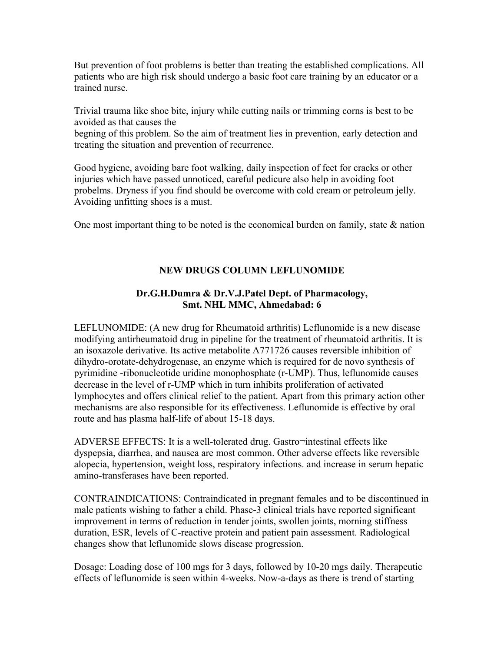But prevention of foot problems is better than treating the established complications. All patients who are high risk should undergo a basic foot care training by an educator or a trained nurse.

Trivial trauma like shoe bite, injury while cutting nails or trimming corns is best to be avoided as that causes the

begning of this problem. So the aim of treatment lies in prevention, early detection and treating the situation and prevention of recurrence.

Good hygiene, avoiding bare foot walking, daily inspection of feet for cracks or other injuries which have passed unnoticed, careful pedicure also help in avoiding foot probelms. Dryness if you find should be overcome with cold cream or petroleum jelly. Avoiding unfitting shoes is a must.

One most important thing to be noted is the economical burden on family, state  $\&$  nation

## **NEW DRUGS COLUMN LEFLUNOMIDE**

## **Dr.G.H.Dumra & Dr.V.J.Patel Dept. of Pharmacology, Smt. NHL MMC, Ahmedabad: 6**

LEFLUNOMIDE: (A new drug for Rheumatoid arthritis) Leflunomide is a new disease modifying antirheumatoid drug in pipeline for the treatment of rheumatoid arthritis. It is an isoxazole derivative. Its active metabolite A771726 causes reversible inhibition of dihydro-orotate-dehydrogenase, an enzyme which is required for de novo synthesis of pyrimidine -ribonucleotide uridine monophosphate (r-UMP). Thus, leflunomide causes decrease in the level of r-UMP which in turn inhibits proliferation of activated lymphocytes and offers clinical relief to the patient. Apart from this primary action other mechanisms are also responsible for its effectiveness. Leflunomide is effective by oral route and has plasma half-life of about 15-18 days.

ADVERSE EFFECTS: It is a well-tolerated drug. Gastro¬intestinal effects like dyspepsia, diarrhea, and nausea are most common. Other adverse effects like reversible alopecia, hypertension, weight loss, respiratory infections. and increase in serum hepatic amino-transferases have been reported.

CONTRAINDICATIONS: Contraindicated in pregnant females and to be discontinued in male patients wishing to father a child. Phase-3 clinical trials have reported significant improvement in terms of reduction in tender joints, swollen joints, morning stiffness duration, ESR, levels of C-reactive protein and patient pain assessment. Radiological changes show that leflunomide slows disease progression.

Dosage: Loading dose of 100 mgs for 3 days, followed by 10-20 mgs daily. Therapeutic effects of leflunomide is seen within 4-weeks. Now-a-days as there is trend of starting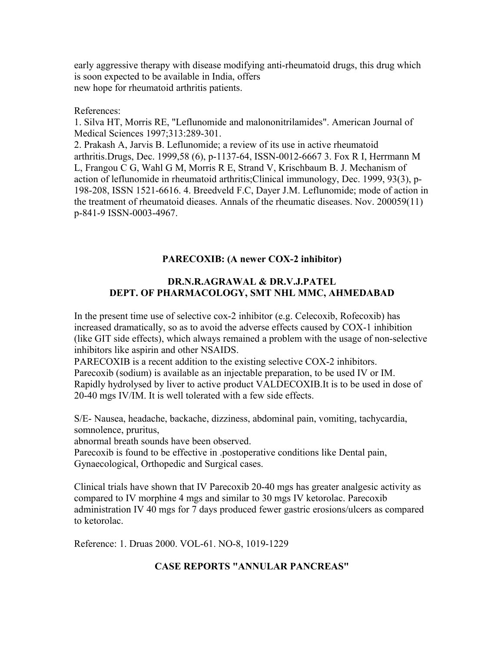early aggressive therapy with disease modifying anti-rheumatoid drugs, this drug which is soon expected to be available in India, offers new hope for rheumatoid arthritis patients.

#### References:

1. Silva HT, Morris RE, "Leflunomide and malononitrilamides". American Journal of Medical Sciences 1997;313:289-301.

2. Prakash A, Jarvis B. Leflunomide; a review of its use in active rheumatoid arthritis.Drugs, Dec. 1999,58 (6), p-1137-64, ISSN-0012-6667 3. Fox R I, Herrmann M L, Frangou C G, Wahl G M, Morris R E, Strand V, Krischbaum B. J. Mechanism of action of leflunomide in rheumatoid arthritis;Clinical immunology, Dec. 1999, 93(3), p-198-208, ISSN 1521-6616. 4. Breedveld F.C, Dayer J.M. Leflunomide; mode of action in the treatment of rheumatoid dieases. Annals of the rheumatic diseases. Nov. 200059(11) p-841-9 ISSN-0003-4967.

#### **PARECOXIB: (A newer COX-2 inhibitor)**

#### **DR.N.R.AGRAWAL & DR.V.J.PATEL DEPT. OF PHARMACOLOGY, SMT NHL MMC, AHMEDABAD**

In the present time use of selective cox-2 inhibitor (e.g. Celecoxib, Rofecoxib) has increased dramatically, so as to avoid the adverse effects caused by COX-1 inhibition (like GIT side effects), which always remained a problem with the usage of non-selective inhibitors like aspirin and other NSAIDS.

PARECOXIB is a recent addition to the existing selective COX-2 inhibitors. Parecoxib (sodium) is available as an injectable preparation, to be used IV or IM. Rapidly hydrolysed by liver to active product VALDECOXIB.It is to be used in dose of 20-40 mgs IV/IM. It is well tolerated with a few side effects.

S/E- Nausea, headache, backache, dizziness, abdominal pain, vomiting, tachycardia, somnolence, pruritus,

abnormal breath sounds have been observed.

Parecoxib is found to be effective in .postoperative conditions like Dental pain, Gynaecological, Orthopedic and Surgical cases.

Clinical trials have shown that IV Parecoxib 20-40 mgs has greater analgesic activity as compared to IV morphine 4 mgs and similar to 30 mgs IV ketorolac. Parecoxib administration IV 40 mgs for 7 days produced fewer gastric erosions/ulcers as compared to ketorolac.

Reference: 1. Druas 2000. VOL-61. NO-8, 1019-1229

## **CASE REPORTS "ANNULAR PANCREAS"**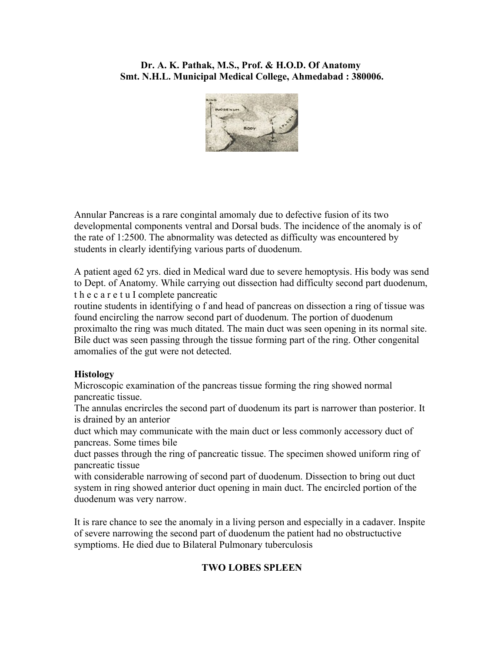## **Dr. A. K. Pathak, M.S., Prof. & H.O.D. Of Anatomy Smt. N.H.L. Municipal Medical College, Ahmedabad : 380006.**



Annular Pancreas is a rare congintal amomaly due to defective fusion of its two developmental components ventral and Dorsal buds. The incidence of the anomaly is of the rate of 1:2500. The abnormality was detected as difficulty was encountered by students in clearly identifying various parts of duodenum.

A patient aged 62 yrs. died in Medical ward due to severe hemoptysis. His body was send to Dept. of Anatomy. While carrying out dissection had difficulty second part duodenum, t h e c a r e t u I complete pancreatic

routine students in identifying o f and head of pancreas on dissection a ring of tissue was found encircling the narrow second part of duodenum. The portion of duodenum proximalto the ring was much ditated. The main duct was seen opening in its normal site. Bile duct was seen passing through the tissue forming part of the ring. Other congenital amomalies of the gut were not detected.

## **Histology**

Microscopic examination of the pancreas tissue forming the ring showed normal pancreatic tissue.

The annulas encrircles the second part of duodenum its part is narrower than posterior. It is drained by an anterior

duct which may communicate with the main duct or less commonly accessory duct of pancreas. Some times bile

duct passes through the ring of pancreatic tissue. The specimen showed uniform ring of pancreatic tissue

with considerable narrowing of second part of duodenum. Dissection to bring out duct system in ring showed anterior duct opening in main duct. The encircled portion of the duodenum was very narrow.

It is rare chance to see the anomaly in a living person and especially in a cadaver. Inspite of severe narrowing the second part of duodenum the patient had no obstructuctive symptioms. He died due to Bilateral Pulmonary tuberculosis

# **TWO LOBES SPLEEN**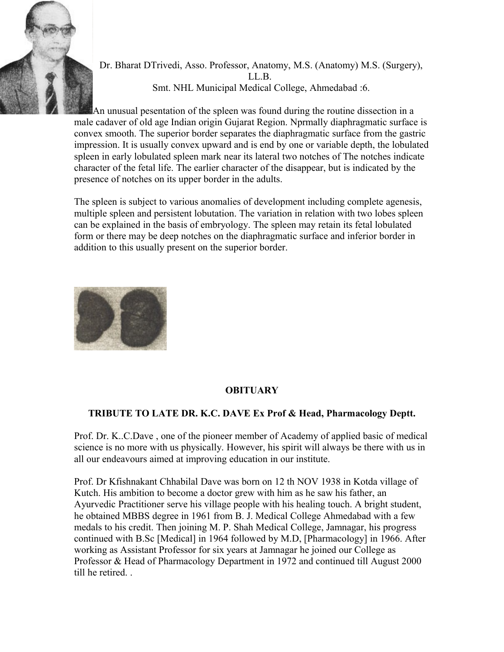

Dr. Bharat DTrivedi, Asso. Professor, Anatomy, M.S. (Anatomy) M.S. (Surgery), LL.B. Smt. NHL Municipal Medical College, Ahmedabad :6.

An unusual pesentation of the spleen was found during the routine dissection in a male cadaver of old age Indian origin Gujarat Region. Nprmally diaphragmatic surface is convex smooth. The superior border separates the diaphragmatic surface from the gastric impression. It is usually convex upward and is end by one or variable depth, the lobulated spleen in early lobulated spleen mark near its lateral two notches of The notches indicate character of the fetal life. The earlier character of the disappear, but is indicated by the presence of notches on its upper border in the adults.

The spleen is subject to various anomalies of development including complete agenesis, multiple spleen and persistent lobutation. The variation in relation with two lobes spleen can be explained in the basis of embryology. The spleen may retain its fetal lobulated form or there may be deep notches on the diaphragmatic surface and inferior border in addition to this usually present on the superior border.



# **OBITUARY**

# **TRIBUTE TO LATE DR. K.C. DAVE Ex Prof & Head, Pharmacology Deptt.**

Prof. Dr. K..C.Dave , one of the pioneer member of Academy of applied basic of medical science is no more with us physically. However, his spirit will always be there with us in all our endeavours aimed at improving education in our institute.

Prof. Dr Kfishnakant Chhabilal Dave was born on 12 th NOV 1938 in Kotda village of Kutch. His ambition to become a doctor grew with him as he saw his father, an Ayurvedic Practitioner serve his village people with his healing touch. A bright student, he obtained MBBS degree in 1961 from B. J. Medical College Ahmedabad with a few medals to his credit. Then joining M. P. Shah Medical College, Jamnagar, his progress continued with B.Sc [Medical] in 1964 followed by M.D, [Pharmacology] in 1966. After working as Assistant Professor for six years at Jamnagar he joined our College as Professor & Head of Pharmacology Department in 1972 and continued till August 2000 till he retired. .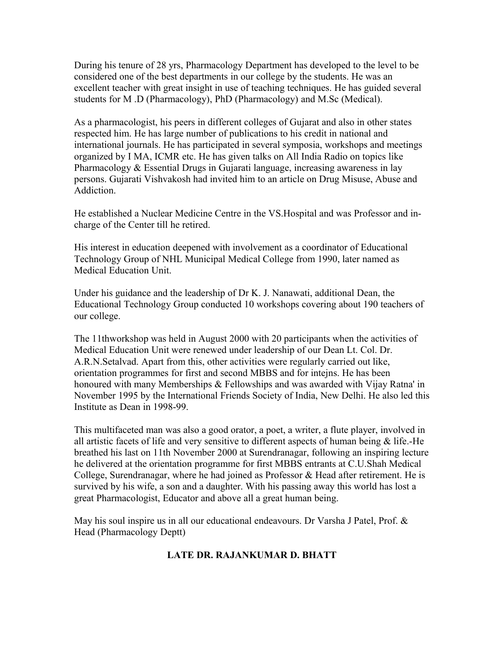During his tenure of 28 yrs, Pharmacology Department has developed to the level to be considered one of the best departments in our college by the students. He was an excellent teacher with great insight in use of teaching techniques. He has guided several students for M .D (Pharmacology), PhD (Pharmacology) and M.Sc (Medical).

As a pharmacologist, his peers in different colleges of Gujarat and also in other states respected him. He has large number of publications to his credit in national and international journals. He has participated in several symposia, workshops and meetings organized by I MA, ICMR etc. He has given talks on All India Radio on topics like Pharmacology & Essential Drugs in Gujarati language, increasing awareness in lay persons. Gujarati Vishvakosh had invited him to an article on Drug Misuse, Abuse and Addiction.

He established a Nuclear Medicine Centre in the VS.Hospital and was Professor and incharge of the Center till he retired.

His interest in education deepened with involvement as a coordinator of Educational Technology Group of NHL Municipal Medical College from 1990, later named as Medical Education Unit.

Under his guidance and the leadership of Dr K. J. Nanawati, additional Dean, the Educational Technology Group conducted 10 workshops covering about 190 teachers of our college.

The 11thworkshop was held in August 2000 with 20 participants when the activities of Medical Education Unit were renewed under leadership of our Dean Lt. Col. Dr. A.R.N.Setalvad. Apart from this, other activities were regularly carried out like, orientation programmes for first and second MBBS and for intejns. He has been honoured with many Memberships & Fellowships and was awarded with Vijay Ratna' in November 1995 by the International Friends Society of India, New Delhi. He also led this Institute as Dean in 1998-99.

This multifaceted man was also a good orator, a poet, a writer, a flute player, involved in all artistic facets of life and very sensitive to different aspects of human being  $\&$  life.-He breathed his last on 11th November 2000 at Surendranagar, following an inspiring lecture he delivered at the orientation programme for first MBBS entrants at C.U.Shah Medical College, Surendranagar, where he had joined as Professor & Head after retirement. He is survived by his wife, a son and a daughter. With his passing away this world has lost a great Pharmacologist, Educator and above all a great human being.

May his soul inspire us in all our educational endeavours. Dr Varsha J Patel, Prof. & Head (Pharmacology Deptt)

## **LATE DR. RAJANKUMAR D. BHATT**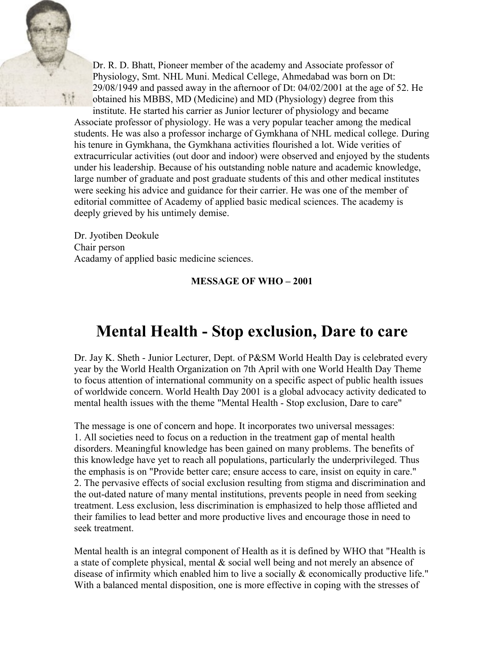

Dr. R. D. Bhatt, Pioneer member of the academy and Associate professor of Physiology, Smt. NHL Muni. Medical Cellege, Ahmedabad was born on Dt: 29/08/1949 and passed away in the afternoor of Dt: 04/02/2001 at the age of 52. He obtained his MBBS, MD (Medicine) and MD (Physiology) degree from this

institute. He started his carrier as Junior lecturer of physiology and became Associate professor of physiology. He was a very popular teacher among the medical students. He was also a professor incharge of Gymkhana of NHL medical college. During his tenure in Gymkhana, the Gymkhana activities flourished a lot. Wide verities of extracurricular activities (out door and indoor) were observed and enjoyed by the students under his leadership. Because of his outstanding noble nature and academic knowledge, large number of graduate and post graduate students of this and other medical institutes were seeking his advice and guidance for their carrier. He was one of the member of editorial committee of Academy of applied basic medical sciences. The academy is deeply grieved by his untimely demise.

Dr. Jyotiben Deokule Chair person Acadamy of applied basic medicine sciences.

## **MESSAGE OF WHO – 2001**

# **Mental Health - Stop exclusion, Dare to care**

Dr. Jay K. Sheth - Junior Lecturer, Dept. of P&SM World Health Day is celebrated every year by the World Health Organization on 7th April with one World Health Day Theme to focus attention of international community on a specific aspect of public health issues of worldwide concern. World Health Day 2001 is a global advocacy activity dedicated to mental health issues with the theme "Mental Health - Stop exclusion, Dare to care"

The message is one of concern and hope. It incorporates two universal messages: 1. All societies need to focus on a reduction in the treatment gap of mental health disorders. Meaningful knowledge has been gained on many problems. The benefits of this knowledge have yet to reach all populations, particularly the underprivileged. Thus the emphasis is on "Provide better care; ensure access to care, insist on equity in care." 2. The pervasive effects of social exclusion resulting from stigma and discrimination and the out-dated nature of many mental institutions, prevents people in need from seeking treatment. Less exclusion, less discrimination is emphasized to help those afflieted and their families to lead better and more productive lives and encourage those in need to seek treatment.

Mental health is an integral component of Health as it is defined by WHO that "Health is a state of complete physical, mental & social well being and not merely an absence of disease of infirmity which enabled him to live a socially & economically productive life." With a balanced mental disposition, one is more effective in coping with the stresses of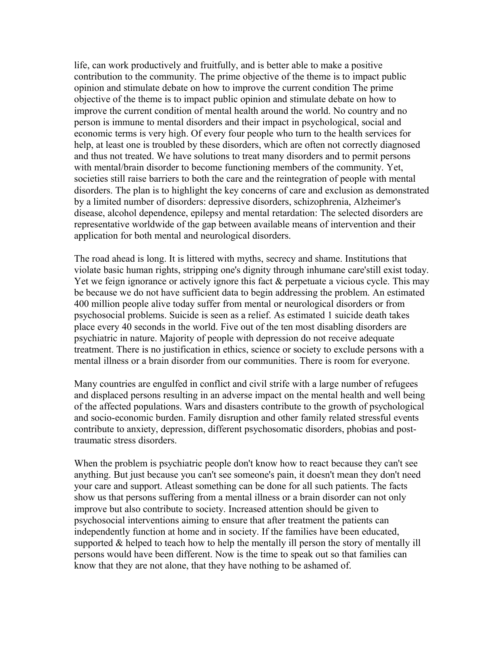life, can work productively and fruitfully, and is better able to make a positive contribution to the community. The prime objective of the theme is to impact public opinion and stimulate debate on how to improve the current condition The prime objective of the theme is to impact public opinion and stimulate debate on how to improve the current condition of mental health around the world. No country and no person is immune to mental disorders and their impact in psychological, social and economic terms is very high. Of every four people who turn to the health services for help, at least one is troubled by these disorders, which are often not correctly diagnosed and thus not treated. We have solutions to treat many disorders and to permit persons with mental/brain disorder to become functioning members of the community. Yet, societies still raise barriers to both the care and the reintegration of people with mental disorders. The plan is to highlight the key concerns of care and exclusion as demonstrated by a limited number of disorders: depressive disorders, schizophrenia, Alzheimer's disease, alcohol dependence, epilepsy and mental retardation: The selected disorders are representative worldwide of the gap between available means of intervention and their application for both mental and neurological disorders.

The road ahead is long. It is littered with myths, secrecy and shame. Institutions that violate basic human rights, stripping one's dignity through inhumane care'still exist today. Yet we feign ignorance or actively ignore this fact & perpetuate a vicious cycle. This may be because we do not have sufficient data to begin addressing the problem. An estimated 400 million people alive today suffer from mental or neurological disorders or from psychosocial problems. Suicide is seen as a relief. As estimated 1 suicide death takes place every 40 seconds in the world. Five out of the ten most disabling disorders are psychiatric in nature. Majority of people with depression do not receive adequate treatment. There is no justification in ethics, science or society to exclude persons with a mental illness or a brain disorder from our communities. There is room for everyone.

Many countries are engulfed in conflict and civil strife with a large number of refugees and displaced persons resulting in an adverse impact on the mental health and well being of the affected populations. Wars and disasters contribute to the growth of psychological and socio-economic burden. Family disruption and other family related stressful events contribute to anxiety, depression, different psychosomatic disorders, phobias and posttraumatic stress disorders.

When the problem is psychiatric people don't know how to react because they can't see anything. But just because you can't see someone's pain, it doesn't mean they don't need your care and support. Atleast something can be done for all such patients. The facts show us that persons suffering from a mental illness or a brain disorder can not only improve but also contribute to society. Increased attention should be given to psychosocial interventions aiming to ensure that after treatment the patients can independently function at home and in society. If the families have been educated, supported & helped to teach how to help the mentally ill person the story of mentally ill persons would have been different. Now is the time to speak out so that families can know that they are not alone, that they have nothing to be ashamed of.